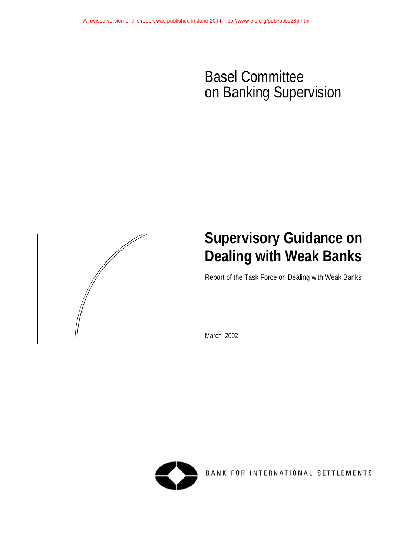# Basel Committee on Banking Supervision



# **Supervisory Guidance on Dealing with Weak Banks**

Report of the Task Force on Dealing with Weak Banks

March 2002



BANK FOR INTERNATIONAL SETTLEMENTS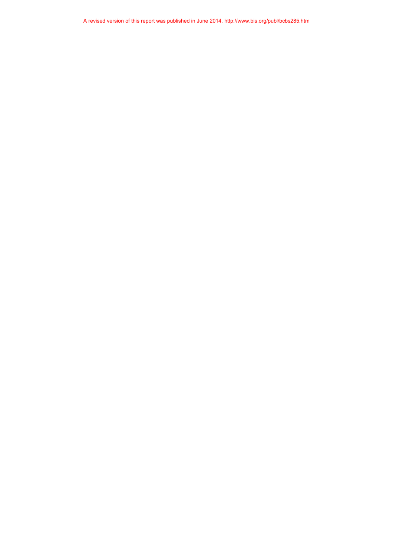A revised version of this report was published in June 2014. http://www.bis.org/publ/bcbs285.htm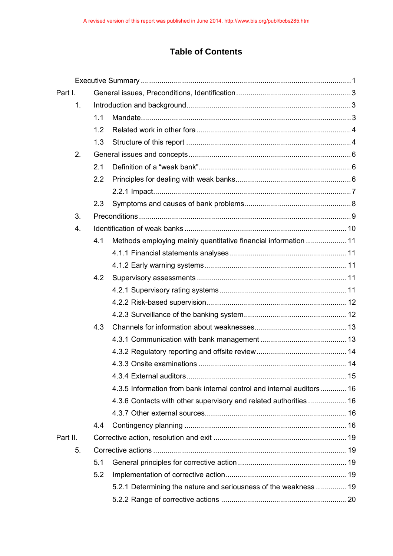# **Table of Contents**

| Part I.  |     |                                                                       |  |  |  |
|----------|-----|-----------------------------------------------------------------------|--|--|--|
| 1.       |     |                                                                       |  |  |  |
|          | 1.1 |                                                                       |  |  |  |
|          | 1.2 |                                                                       |  |  |  |
|          | 1.3 |                                                                       |  |  |  |
| 2.       |     |                                                                       |  |  |  |
|          | 2.1 |                                                                       |  |  |  |
|          | 2.2 |                                                                       |  |  |  |
|          |     |                                                                       |  |  |  |
|          | 2.3 |                                                                       |  |  |  |
| 3.       |     |                                                                       |  |  |  |
| 4.       |     |                                                                       |  |  |  |
|          | 4.1 | Methods employing mainly quantitative financial information  11       |  |  |  |
|          |     |                                                                       |  |  |  |
|          |     |                                                                       |  |  |  |
|          | 4.2 |                                                                       |  |  |  |
|          |     |                                                                       |  |  |  |
|          |     |                                                                       |  |  |  |
|          |     |                                                                       |  |  |  |
|          | 4.3 |                                                                       |  |  |  |
|          |     |                                                                       |  |  |  |
|          |     |                                                                       |  |  |  |
|          |     |                                                                       |  |  |  |
|          |     |                                                                       |  |  |  |
|          |     | 4.3.5 Information from bank internal control and internal auditors 16 |  |  |  |
|          |     | 4.3.6 Contacts with other supervisory and related authorities  16     |  |  |  |
|          |     |                                                                       |  |  |  |
|          | 4.4 |                                                                       |  |  |  |
| Part II. |     |                                                                       |  |  |  |
| 5.       |     |                                                                       |  |  |  |
|          | 5.1 |                                                                       |  |  |  |
|          | 5.2 |                                                                       |  |  |  |
|          |     | 5.2.1 Determining the nature and seriousness of the weakness  19      |  |  |  |
|          |     |                                                                       |  |  |  |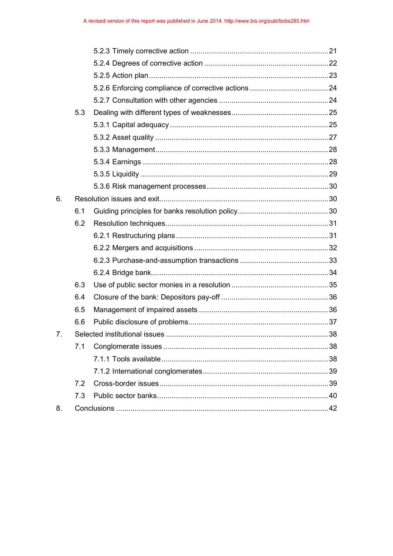|                | 5.3 |  |  |  |
|----------------|-----|--|--|--|
|                |     |  |  |  |
|                |     |  |  |  |
|                |     |  |  |  |
|                |     |  |  |  |
|                |     |  |  |  |
|                |     |  |  |  |
| 6.             |     |  |  |  |
|                | 6.1 |  |  |  |
|                | 6.2 |  |  |  |
|                |     |  |  |  |
|                |     |  |  |  |
|                |     |  |  |  |
|                |     |  |  |  |
|                | 6.3 |  |  |  |
|                | 6.4 |  |  |  |
|                | 6.5 |  |  |  |
|                | 6.6 |  |  |  |
| 7 <sub>1</sub> |     |  |  |  |
|                | 7.1 |  |  |  |
|                |     |  |  |  |
|                |     |  |  |  |
|                | 7.2 |  |  |  |
|                | 7.3 |  |  |  |
| 8.             |     |  |  |  |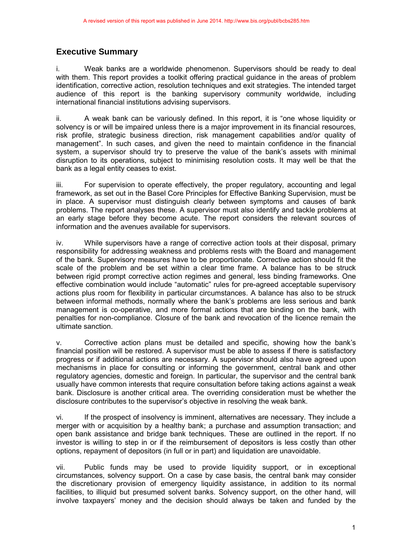## **Executive Summary**

i. Weak banks are a worldwide phenomenon. Supervisors should be ready to deal with them. This report provides a toolkit offering practical guidance in the areas of problem identification, corrective action, resolution techniques and exit strategies. The intended target audience of this report is the banking supervisory community worldwide, including international financial institutions advising supervisors.

ii. A weak bank can be variously defined. In this report, it is "one whose liquidity or solvency is or will be impaired unless there is a major improvement in its financial resources, risk profile, strategic business direction, risk management capabilities and/or quality of management". In such cases, and given the need to maintain confidence in the financial system, a supervisor should try to preserve the value of the bank's assets with minimal disruption to its operations, subject to minimising resolution costs. It may well be that the bank as a legal entity ceases to exist.

iii. For supervision to operate effectively, the proper regulatory, accounting and legal framework, as set out in the Basel Core Principles for Effective Banking Supervision, must be in place. A supervisor must distinguish clearly between symptoms and causes of bank problems. The report analyses these. A supervisor must also identify and tackle problems at an early stage before they become acute. The report considers the relevant sources of information and the avenues available for supervisors.

iv. While supervisors have a range of corrective action tools at their disposal, primary responsibility for addressing weakness and problems rests with the Board and management of the bank. Supervisory measures have to be proportionate. Corrective action should fit the scale of the problem and be set within a clear time frame. A balance has to be struck between rigid prompt corrective action regimes and general, less binding frameworks. One effective combination would include "automatic" rules for pre-agreed acceptable supervisory actions plus room for flexibility in particular circumstances. A balance has also to be struck between informal methods, normally where the bank's problems are less serious and bank management is co-operative, and more formal actions that are binding on the bank, with penalties for non-compliance. Closure of the bank and revocation of the licence remain the ultimate sanction.

v. Corrective action plans must be detailed and specific, showing how the bank's financial position will be restored. A supervisor must be able to assess if there is satisfactory progress or if additional actions are necessary. A supervisor should also have agreed upon mechanisms in place for consulting or informing the government, central bank and other regulatory agencies, domestic and foreign. In particular, the supervisor and the central bank usually have common interests that require consultation before taking actions against a weak bank. Disclosure is another critical area. The overriding consideration must be whether the disclosure contributes to the supervisor's objective in resolving the weak bank.

vi. If the prospect of insolvency is imminent, alternatives are necessary. They include a merger with or acquisition by a healthy bank; a purchase and assumption transaction; and open bank assistance and bridge bank techniques. These are outlined in the report. If no investor is willing to step in or if the reimbursement of depositors is less costly than other options, repayment of depositors (in full or in part) and liquidation are unavoidable.

vii. Public funds may be used to provide liquidity support, or in exceptional circumstances, solvency support. On a case by case basis, the central bank may consider the discretionary provision of emergency liquidity assistance, in addition to its normal facilities, to illiquid but presumed solvent banks. Solvency support, on the other hand, will involve taxpayers' money and the decision should always be taken and funded by the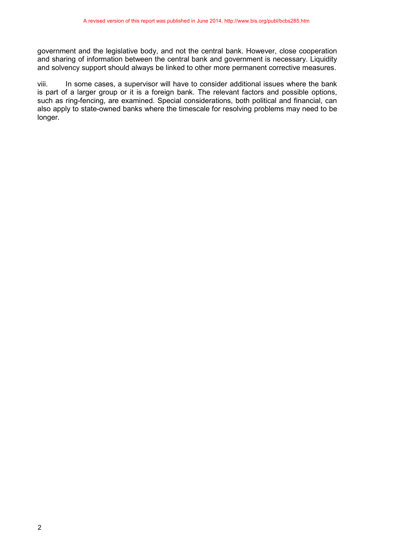government and the legislative body, and not the central bank. However, close cooperation and sharing of information between the central bank and government is necessary. Liquidity and solvency support should always be linked to other more permanent corrective measures.

viii. In some cases, a supervisor will have to consider additional issues where the bank is part of a larger group or it is a foreign bank. The relevant factors and possible options, such as ring-fencing, are examined. Special considerations, both political and financial, can also apply to state-owned banks where the timescale for resolving problems may need to be longer.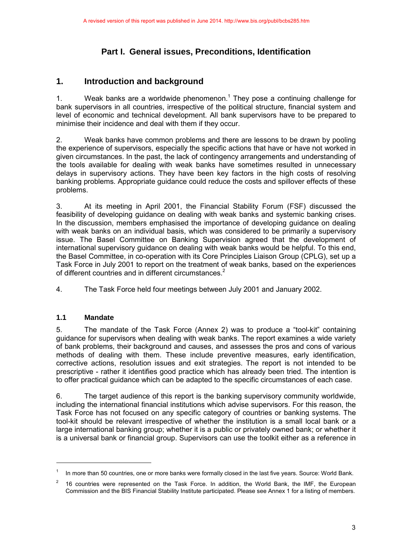## **Part I. General issues, Preconditions, Identification**

## **1. Introduction and background**

1. Weak banks are a worldwide phenomenon.<sup>1</sup> They pose a continuing challenge for bank supervisors in all countries, irrespective of the political structure, financial system and level of economic and technical development. All bank supervisors have to be prepared to minimise their incidence and deal with them if they occur.

2. Weak banks have common problems and there are lessons to be drawn by pooling the experience of supervisors, especially the specific actions that have or have not worked in given circumstances. In the past, the lack of contingency arrangements and understanding of the tools available for dealing with weak banks have sometimes resulted in unnecessary delays in supervisory actions. They have been key factors in the high costs of resolving banking problems. Appropriate guidance could reduce the costs and spillover effects of these problems.

3. At its meeting in April 2001, the Financial Stability Forum (FSF) discussed the feasibility of developing guidance on dealing with weak banks and systemic banking crises. In the discussion, members emphasised the importance of developing guidance on dealing with weak banks on an individual basis, which was considered to be primarily a supervisory issue. The Basel Committee on Banking Supervision agreed that the development of international supervisory guidance on dealing with weak banks would be helpful. To this end, the Basel Committee, in co-operation with its Core Principles Liaison Group (CPLG), set up a Task Force in July 2001 to report on the treatment of weak banks, based on the experiences of different countries and in different circumstances. $2$ 

4. The Task Force held four meetings between July 2001 and January 2002.

### **1.1 Mandate**

 $\overline{a}$ 

5. The mandate of the Task Force (Annex 2) was to produce a "tool-kit" containing guidance for supervisors when dealing with weak banks. The report examines a wide variety of bank problems, their background and causes, and assesses the pros and cons of various methods of dealing with them. These include preventive measures, early identification, corrective actions, resolution issues and exit strategies. The report is not intended to be prescriptive - rather it identifies good practice which has already been tried. The intention is to offer practical guidance which can be adapted to the specific circumstances of each case.

6. The target audience of this report is the banking supervisory community worldwide, including the international financial institutions which advise supervisors. For this reason, the Task Force has not focused on any specific category of countries or banking systems. The tool-kit should be relevant irrespective of whether the institution is a small local bank or a large international banking group; whether it is a public or privately owned bank; or whether it is a universal bank or financial group. Supervisors can use the toolkit either as a reference in

<sup>1</sup> In more than 50 countries, one or more banks were formally closed in the last five years. Source: World Bank.

<sup>2</sup> 16 countries were represented on the Task Force. In addition, the World Bank, the IMF, the European Commission and the BIS Financial Stability Institute participated. Please see Annex 1 for a listing of members.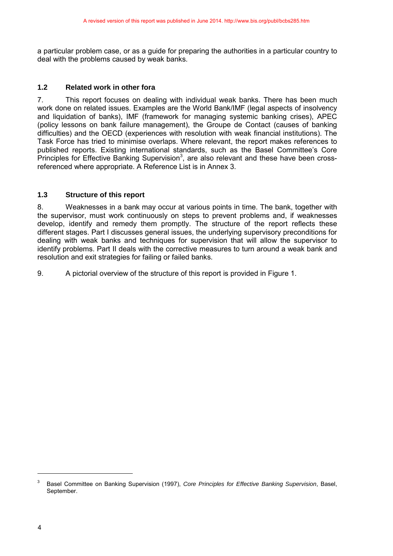a particular problem case, or as a guide for preparing the authorities in a particular country to deal with the problems caused by weak banks.

#### **1.2 Related work in other fora**

7. This report focuses on dealing with individual weak banks. There has been much work done on related issues. Examples are the World Bank/IMF (legal aspects of insolvency and liquidation of banks), IMF (framework for managing systemic banking crises), APEC (policy lessons on bank failure management), the Groupe de Contact (causes of banking difficulties) and the OECD (experiences with resolution with weak financial institutions). The Task Force has tried to minimise overlaps. Where relevant, the report makes references to published reports. Existing international standards, such as the Basel Committee's Core Principles for Effective Banking Supervision<sup>3</sup>, are also relevant and these have been crossreferenced where appropriate. A Reference List is in Annex 3.

#### **1.3 Structure of this report**

8. Weaknesses in a bank may occur at various points in time. The bank, together with the supervisor, must work continuously on steps to prevent problems and, if weaknesses develop, identify and remedy them promptly. The structure of the report reflects these different stages. Part I discusses general issues, the underlying supervisory preconditions for dealing with weak banks and techniques for supervision that will allow the supervisor to identify problems. Part II deals with the corrective measures to turn around a weak bank and resolution and exit strategies for failing or failed banks.

9. A pictorial overview of the structure of this report is provided in Figure 1.

 $\overline{a}$ 

<sup>3</sup> Basel Committee on Banking Supervision (1997), *Core Principles for Effective Banking Supervision*, Basel, September.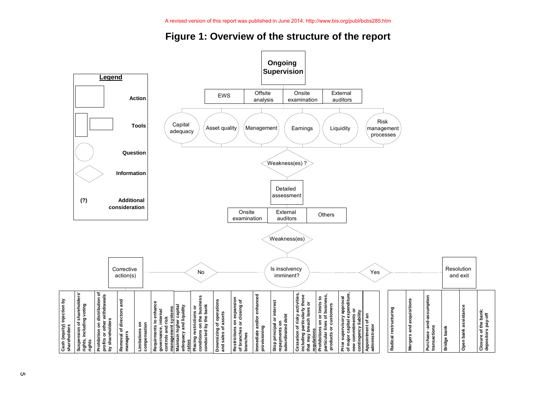

## **Figure 1: Overview of the structure of the report**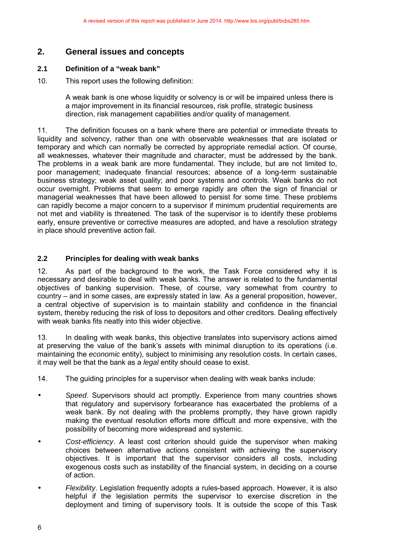## **2. General issues and concepts**

#### **2.1 Definition of a "weak bank"**

10. This report uses the following definition:

A weak bank is one whose liquidity or solvency is or will be impaired unless there is a major improvement in its financial resources, risk profile, strategic business direction, risk management capabilities and/or quality of management.

11. The definition focuses on a bank where there are potential or immediate threats to liquidity and solvency, rather than one with observable weaknesses that are isolated or temporary and which can normally be corrected by appropriate remedial action. Of course, all weaknesses, whatever their magnitude and character, must be addressed by the bank. The problems in a weak bank are more fundamental. They include, but are not limited to, poor management; inadequate financial resources; absence of a long-term sustainable business strategy; weak asset quality; and poor systems and controls. Weak banks do not occur overnight. Problems that seem to emerge rapidly are often the sign of financial or managerial weaknesses that have been allowed to persist for some time. These problems can rapidly become a major concern to a supervisor if minimum prudential requirements are not met and viability is threatened. The task of the supervisor is to identify these problems early, ensure preventive or corrective measures are adopted, and have a resolution strategy in place should preventive action fail.

#### **2.2 Principles for dealing with weak banks**

12. As part of the background to the work, the Task Force considered why it is necessary and desirable to deal with weak banks. The answer is related to the fundamental objectives of banking supervision. These, of course, vary somewhat from country to country – and in some cases, are expressly stated in law. As a general proposition, however, a central objective of supervision is to maintain stability and confidence in the financial system, thereby reducing the risk of loss to depositors and other creditors. Dealing effectively with weak banks fits neatly into this wider objective.

13. In dealing with weak banks, this objective translates into supervisory actions aimed at preserving the value of the bank's assets with minimal disruption to its operations (i.e. maintaining the *economic* entity), subject to minimising any resolution costs. In certain cases, it may well be that the bank as a *legal* entity should cease to exist.

- 14. The guiding principles for a supervisor when dealing with weak banks include:
- *Speed*. Supervisors should act promptly. Experience from many countries shows that regulatory and supervisory forbearance has exacerbated the problems of a weak bank. By not dealing with the problems promptly, they have grown rapidly making the eventual resolution efforts more difficult and more expensive, with the possibility of becoming more widespread and systemic.
- *Cost-efficiency*. A least cost criterion should guide the supervisor when making choices between alternative actions consistent with achieving the supervisory objectives. It is important that the supervisor considers all costs, including exogenous costs such as instability of the financial system, in deciding on a course of action.
- *Flexibility*. Legislation frequently adopts a rules-based approach. However, it is also helpful if the legislation permits the supervisor to exercise discretion in the deployment and timing of supervisory tools. It is outside the scope of this Task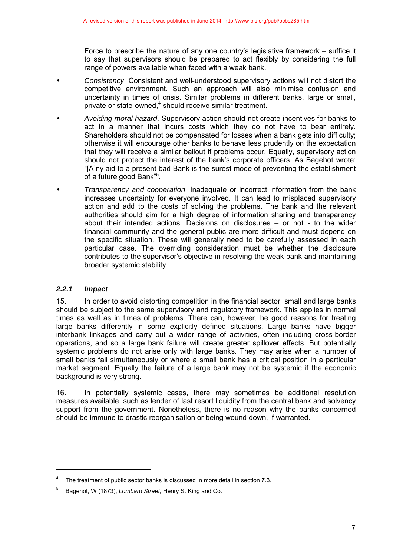Force to prescribe the nature of any one country's legislative framework – suffice it to say that supervisors should be prepared to act flexibly by considering the full range of powers available when faced with a weak bank.

- *Consistency*. Consistent and well-understood supervisory actions will not distort the competitive environment. Such an approach will also minimise confusion and uncertainty in times of crisis. Similar problems in different banks, large or small, private or state-owned,<sup>4</sup> should receive similar treatment.
- *Avoiding moral hazard*. Supervisory action should not create incentives for banks to act in a manner that incurs costs which they do not have to bear entirely. Shareholders should not be compensated for losses when a bank gets into difficulty; otherwise it will encourage other banks to behave less prudently on the expectation that they will receive a similar bailout if problems occur. Equally, supervisory action should not protect the interest of the bank's corporate officers. As Bagehot wrote: "[A]ny aid to a present bad Bank is the surest mode of preventing the establishment of a future good Bank"<sup>5</sup>.
- *Transparency and cooperation*. Inadequate or incorrect information from the bank increases uncertainty for everyone involved. It can lead to misplaced supervisory action and add to the costs of solving the problems. The bank and the relevant authorities should aim for a high degree of information sharing and transparency about their intended actions. Decisions on disclosures – or not - to the wider financial community and the general public are more difficult and must depend on the specific situation. These will generally need to be carefully assessed in each particular case. The overriding consideration must be whether the disclosure contributes to the supervisor's objective in resolving the weak bank and maintaining broader systemic stability.

#### *2.2.1 Impact*

 $\overline{a}$ 

15. In order to avoid distorting competition in the financial sector, small and large banks should be subject to the same supervisory and regulatory framework. This applies in normal times as well as in times of problems. There can, however, be good reasons for treating large banks differently in some explicitly defined situations. Large banks have bigger interbank linkages and carry out a wider range of activities, often including cross-border operations, and so a large bank failure will create greater spillover effects. But potentially systemic problems do not arise only with large banks. They may arise when a number of small banks fail simultaneously or where a small bank has a critical position in a particular market segment. Equally the failure of a large bank may not be systemic if the economic background is very strong.

16. In potentially systemic cases, there may sometimes be additional resolution measures available, such as lender of last resort liquidity from the central bank and solvency support from the government. Nonetheless, there is no reason why the banks concerned should be immune to drastic reorganisation or being wound down, if warranted.

<sup>4</sup> The treatment of public sector banks is discussed in more detail in section 7.3.

<sup>5</sup> Bagehot, W (1873), *Lombard Street,* Henry S. King and Co.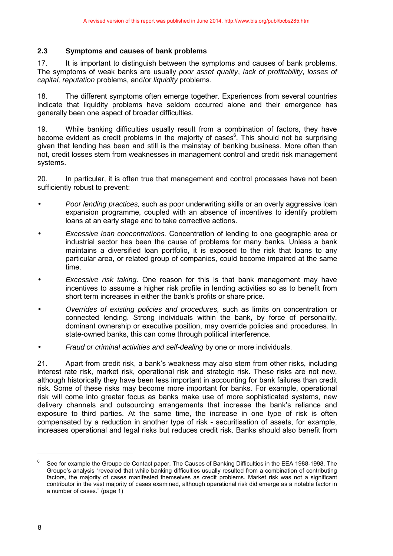#### **2.3 Symptoms and causes of bank problems**

17. It is important to distinguish between the symptoms and causes of bank problems. The symptoms of weak banks are usually *poor asset quality*, *lack of profitability*, *losses of capital, reputation* problems, and/or *liquidity* problems.

18. The different symptoms often emerge together. Experiences from several countries indicate that liquidity problems have seldom occurred alone and their emergence has generally been one aspect of broader difficulties.

19. While banking difficulties usually result from a combination of factors, they have become evident as credit problems in the majority of cases<sup>6</sup>. This should not be surprising given that lending has been and still is the mainstay of banking business. More often than not, credit losses stem from weaknesses in management control and credit risk management systems.

20. In particular, it is often true that management and control processes have not been sufficiently robust to prevent:

- *Poor lending practices,* such as poor underwriting skills or an overly aggressive loan expansion programme, coupled with an absence of incentives to identify problem loans at an early stage and to take corrective actions.
- *Excessive loan concentrations.* Concentration of lending to one geographic area or industrial sector has been the cause of problems for many banks. Unless a bank maintains a diversified loan portfolio, it is exposed to the risk that loans to any particular area, or related group of companies, could become impaired at the same time.
- *Excessive risk taking.* One reason for this is that bank management may have incentives to assume a higher risk profile in lending activities so as to benefit from short term increases in either the bank's profits or share price.
- *Overrides of existing policies and procedures,* such as limits on concentration or connected lending. Strong individuals within the bank, by force of personality, dominant ownership or executive position, may override policies and procedures. In state-owned banks, this can come through political interference.
- *Fraud or criminal activities and self-dealing* by one or more individuals.

21. Apart from credit risk, a bank's weakness may also stem from other risks, including interest rate risk, market risk, operational risk and strategic risk. These risks are not new, although historically they have been less important in accounting for bank failures than credit risk. Some of these risks may become more important for banks. For example, operational risk will come into greater focus as banks make use of more sophisticated systems, new delivery channels and outsourcing arrangements that increase the bank's reliance and exposure to third parties. At the same time, the increase in one type of risk is often compensated by a reduction in another type of risk - securitisation of assets, for example, increases operational and legal risks but reduces credit risk. Banks should also benefit from

 $\overline{a}$ 

<sup>6</sup> See for example the Groupe de Contact paper, The Causes of Banking Difficulties in the EEA 1988-1998. The Groupe's analysis "revealed that while banking difficulties usually resulted from a combination of contributing factors, the majority of cases manifested themselves as credit problems. Market risk was not a significant contributor in the vast majority of cases examined, although operational risk did emerge as a notable factor in a number of cases." (page 1)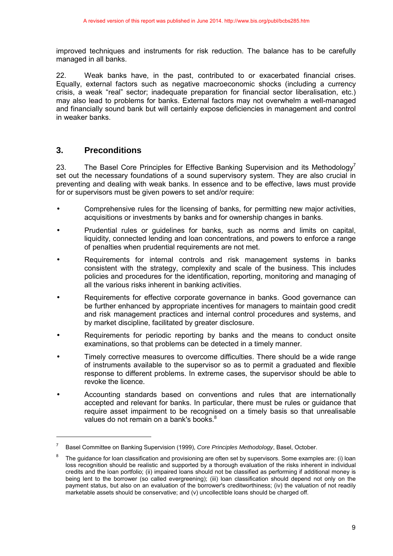improved techniques and instruments for risk reduction. The balance has to be carefully managed in all banks.

22. Weak banks have, in the past, contributed to or exacerbated financial crises. Equally, external factors such as negative macroeconomic shocks (including a currency crisis, a weak "real" sector; inadequate preparation for financial sector liberalisation, etc.) may also lead to problems for banks. External factors may not overwhelm a well-managed and financially sound bank but will certainly expose deficiencies in management and control in weaker banks.

## **3. Preconditions**

 $\ddot{\phantom{a}}$ 

23. The Basel Core Principles for Effective Banking Supervision and its Methodology<sup>7</sup> set out the necessary foundations of a sound supervisory system. They are also crucial in preventing and dealing with weak banks. In essence and to be effective, laws must provide for or supervisors must be given powers to set and/or require:

- Comprehensive rules for the licensing of banks, for permitting new major activities, acquisitions or investments by banks and for ownership changes in banks.
- Prudential rules or guidelines for banks, such as norms and limits on capital, liquidity, connected lending and loan concentrations, and powers to enforce a range of penalties when prudential requirements are not met.
- Requirements for internal controls and risk management systems in banks consistent with the strategy, complexity and scale of the business. This includes policies and procedures for the identification, reporting, monitoring and managing of all the various risks inherent in banking activities.
- Requirements for effective corporate governance in banks. Good governance can be further enhanced by appropriate incentives for managers to maintain good credit and risk management practices and internal control procedures and systems, and by market discipline, facilitated by greater disclosure.
- Requirements for periodic reporting by banks and the means to conduct onsite examinations, so that problems can be detected in a timely manner.
- Timely corrective measures to overcome difficulties. There should be a wide range of instruments available to the supervisor so as to permit a graduated and flexible response to different problems. In extreme cases, the supervisor should be able to revoke the licence.
- Accounting standards based on conventions and rules that are internationally accepted and relevant for banks. In particular, there must be rules or guidance that require asset impairment to be recognised on a timely basis so that unrealisable values do not remain on a bank's books.<sup>8</sup>

<sup>7</sup> Basel Committee on Banking Supervision (1999), *Core Principles Methodology*, Basel, October.

<sup>8</sup> The guidance for loan classification and provisioning are often set by supervisors. Some examples are: (i) loan loss recognition should be realistic and supported by a thorough evaluation of the risks inherent in individual credits and the loan portfolio; (ii) impaired loans should not be classified as performing if additional money is being lent to the borrower (so called evergreening); (iii) loan classification should depend not only on the payment status, but also on an evaluation of the borrower's creditworthiness; (iv) the valuation of not readily marketable assets should be conservative; and (v) uncollectible loans should be charged off.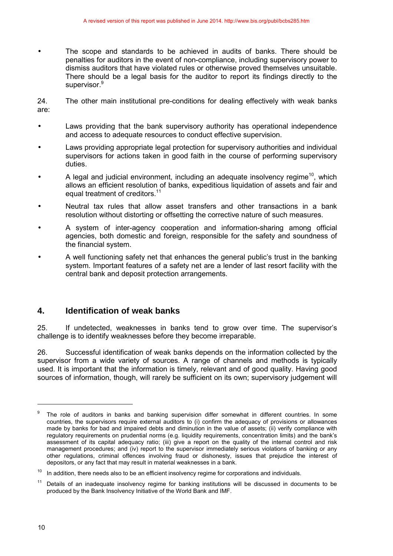The scope and standards to be achieved in audits of banks. There should be penalties for auditors in the event of non-compliance, including supervisory power to dismiss auditors that have violated rules or otherwise proved themselves unsuitable. There should be a legal basis for the auditor to report its findings directly to the supervisor.<sup>9</sup>

24. The other main institutional pre-conditions for dealing effectively with weak banks are:

- Laws providing that the bank supervisory authority has operational independence and access to adequate resources to conduct effective supervision.
- Laws providing appropriate legal protection for supervisory authorities and individual supervisors for actions taken in good faith in the course of performing supervisory duties.
- A legal and judicial environment, including an adequate insolvency regime<sup>10</sup>, which allows an efficient resolution of banks, expeditious liquidation of assets and fair and equal treatment of creditors.<sup>11</sup>
- Neutral tax rules that allow asset transfers and other transactions in a bank resolution without distorting or offsetting the corrective nature of such measures.
- A system of inter-agency cooperation and information-sharing among official agencies, both domestic and foreign, responsible for the safety and soundness of the financial system.
- A well functioning safety net that enhances the general public's trust in the banking system. Important features of a safety net are a lender of last resort facility with the central bank and deposit protection arrangements.

## **4. Identification of weak banks**

25. If undetected, weaknesses in banks tend to grow over time. The supervisor's challenge is to identify weaknesses before they become irreparable.

26. Successful identification of weak banks depends on the information collected by the supervisor from a wide variety of sources. A range of channels and methods is typically used. It is important that the information is timely, relevant and of good quality. Having good sources of information, though, will rarely be sufficient on its own; supervisory judgement will

 $\ddot{\phantom{a}}$ 

<sup>9</sup> The role of auditors in banks and banking supervision differ somewhat in different countries. In some countries, the supervisors require external auditors to (i) confirm the adequacy of provisions or allowances made by banks for bad and impaired debts and diminution in the value of assets; (ii) verify compliance with regulatory requirements on prudential norms (e.g. liquidity requirements, concentration limits) and the bank's assessment of its capital adequacy ratio; (iii) give a report on the quality of the internal control and risk management procedures; and (iv) report to the supervisor immediately serious violations of banking or any other regulations, criminal offences involving fraud or dishonesty, issues that prejudice the interest of depositors, or any fact that may result in material weaknesses in a bank.

 $10$  In addition, there needs also to be an efficient insolvency regime for corporations and individuals.

<sup>&</sup>lt;sup>11</sup> Details of an inadequate insolvency regime for banking institutions will be discussed in documents to be produced by the Bank Insolvency Initiative of the World Bank and IMF.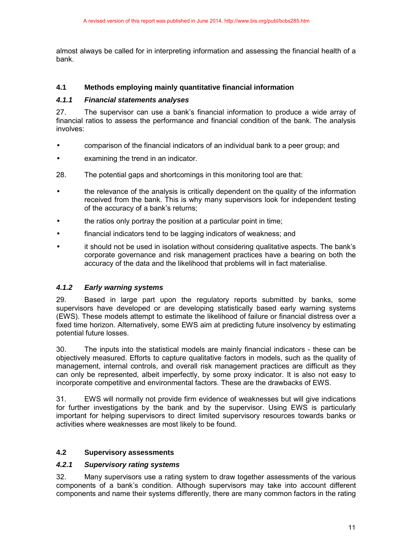almost always be called for in interpreting information and assessing the financial health of a bank.

#### **4.1 Methods employing mainly quantitative financial information**

#### *4.1.1 Financial statements analyses*

27. The supervisor can use a bank's financial information to produce a wide array of financial ratios to assess the performance and financial condition of the bank. The analysis involves:

- comparison of the financial indicators of an individual bank to a peer group; and
- examining the trend in an indicator.
- 28. The potential gaps and shortcomings in this monitoring tool are that:
- the relevance of the analysis is critically dependent on the quality of the information received from the bank. This is why many supervisors look for independent testing of the accuracy of a bank's returns;
- the ratios only portray the position at a particular point in time:
- financial indicators tend to be lagging indicators of weakness; and
- it should not be used in isolation without considering qualitative aspects. The bank's corporate governance and risk management practices have a bearing on both the accuracy of the data and the likelihood that problems will in fact materialise.

#### *4.1.2 Early warning systems*

29. Based in large part upon the regulatory reports submitted by banks, some supervisors have developed or are developing statistically based early warning systems (EWS). These models attempt to estimate the likelihood of failure or financial distress over a fixed time horizon. Alternatively, some EWS aim at predicting future insolvency by estimating potential future losses.

30. The inputs into the statistical models are mainly financial indicators - these can be objectively measured. Efforts to capture qualitative factors in models, such as the quality of management, internal controls, and overall risk management practices are difficult as they can only be represented, albeit imperfectly, by some proxy indicator. It is also not easy to incorporate competitive and environmental factors. These are the drawbacks of EWS.

31. EWS will normally not provide firm evidence of weaknesses but will give indications for further investigations by the bank and by the supervisor. Using EWS is particularly important for helping supervisors to direct limited supervisory resources towards banks or activities where weaknesses are most likely to be found.

#### **4.2 Supervisory assessments**

#### *4.2.1 Supervisory rating systems*

32. Many supervisors use a rating system to draw together assessments of the various components of a bank's condition. Although supervisors may take into account different components and name their systems differently, there are many common factors in the rating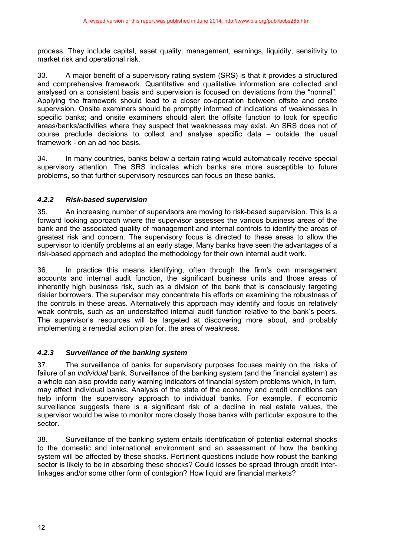process. They include capital, asset quality, management, earnings, liquidity, sensitivity to market risk and operational risk.

33. A major benefit of a supervisory rating system (SRS) is that it provides a structured and comprehensive framework. Quantitative and qualitative information are collected and analysed on a consistent basis and supervision is focused on deviations from the "normal". Applying the framework should lead to a closer co-operation between offsite and onsite supervision. Onsite examiners should be promptly informed of indications of weaknesses in specific banks; and onsite examiners should alert the offsite function to look for specific areas/banks/activities where they suspect that weaknesses may exist. An SRS does not of course preclude decisions to collect and analyse specific data – outside the usual framework - on an ad hoc basis.

34. In many countries, banks below a certain rating would automatically receive special supervisory attention. The SRS indicates which banks are more susceptible to future problems, so that further supervisory resources can focus on these banks.

#### *4.2.2 Risk-based supervision*

35. An increasing number of supervisors are moving to risk-based supervision. This is a forward looking approach where the supervisor assesses the various business areas of the bank and the associated quality of management and internal controls to identify the areas of greatest risk and concern. The supervisory focus is directed to these areas to allow the supervisor to identify problems at an early stage. Many banks have seen the advantages of a risk-based approach and adopted the methodology for their own internal audit work.

36. In practice this means identifying, often through the firm's own management accounts and internal audit function, the significant business units and those areas of inherently high business risk, such as a division of the bank that is consciously targeting riskier borrowers. The supervisor may concentrate his efforts on examining the robustness of the controls in these areas. Alternatively this approach may identify and focus on relatively weak controls, such as an understaffed internal audit function relative to the bank's peers. The supervisor's resources will be targeted at discovering more about, and probably implementing a remedial action plan for, the area of weakness.

#### *4.2.3 Surveillance of the banking system*

37. The surveillance of banks for supervisory purposes focuses mainly on the risks of failure of an *individual* bank. Surveillance of the banking system (and the financial system) as a whole can also provide early warning indicators of financial system problems which, in turn, may affect individual banks. Analysis of the state of the economy and credit conditions can help inform the supervisory approach to individual banks. For example, if economic surveillance suggests there is a significant risk of a decline in real estate values, the supervisor would be wise to monitor more closely those banks with particular exposure to the sector.

38. Surveillance of the banking system entails identification of potential external shocks to the domestic and international environment and an assessment of how the banking system will be affected by these shocks. Pertinent questions include how robust the banking sector is likely to be in absorbing these shocks? Could losses be spread through credit interlinkages and/or some other form of contagion? How liquid are financial markets?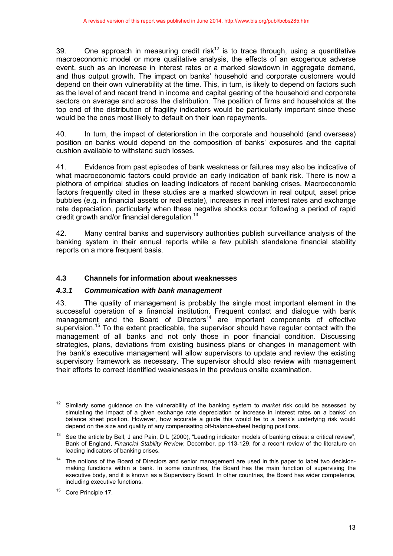39. One approach in measuring credit risk<sup>12</sup> is to trace through, using a quantitative macroeconomic model or more qualitative analysis, the effects of an exogenous adverse event, such as an increase in interest rates or a marked slowdown in aggregate demand, and thus output growth. The impact on banks' household and corporate customers would depend on their own vulnerability at the time. This, in turn, is likely to depend on factors such as the level of and recent trend in income and capital gearing of the household and corporate sectors on average and across the distribution. The position of firms and households at the top end of the distribution of fragility indicators would be particularly important since these would be the ones most likely to default on their loan repayments.

40. In turn, the impact of deterioration in the corporate and household (and overseas) position on banks would depend on the composition of banks' exposures and the capital cushion available to withstand such losses.

41. Evidence from past episodes of bank weakness or failures may also be indicative of what macroeconomic factors could provide an early indication of bank risk. There is now a plethora of empirical studies on leading indicators of recent banking crises. Macroeconomic factors frequently cited in these studies are a marked slowdown in real output, asset price bubbles (e.g. in financial assets or real estate), increases in real interest rates and exchange rate depreciation, particularly when these negative shocks occur following a period of rapid credit growth and/or financial deregulation.<sup>13</sup>

42. Many central banks and supervisory authorities publish surveillance analysis of the banking system in their annual reports while a few publish standalone financial stability reports on a more frequent basis.

#### **4.3 Channels for information about weaknesses**

#### *4.3.1 Communication with bank management*

43. The quality of management is probably the single most important element in the successful operation of a financial institution. Frequent contact and dialogue with bank management and the Board of Directors<sup>14</sup> are important components of effective supervision.<sup>15</sup> To the extent practicable, the supervisor should have regular contact with the management of all banks and not only those in poor financial condition. Discussing strategies, plans, deviations from existing business plans or changes in management with the bank's executive management will allow supervisors to update and review the existing supervisory framework as necessary. The supervisor should also review with management their efforts to correct identified weaknesses in the previous onsite examination.

 $\overline{a}$ 

<sup>12</sup> Similarly some guidance on the vulnerability of the banking system to *market* risk could be assessed by simulating the impact of a given exchange rate depreciation or increase in interest rates on a banks' on balance sheet position. However, how accurate a guide this would be to a bank's underlying risk would depend on the size and quality of any compensating off-balance-sheet hedging positions.

 $13$  See the article by Bell, J and Pain, D L (2000), "Leading indicator models of banking crises: a critical review", Bank of England, *Financial Stability Review*, December, pp 113-129, for a recent review of the literature on leading indicators of banking crises.

<sup>&</sup>lt;sup>14</sup> The notions of the Board of Directors and senior management are used in this paper to label two decisionmaking functions within a bank. In some countries, the Board has the main function of supervising the executive body, and it is known as a Supervisory Board. In other countries, the Board has wider competence, including executive functions.

<sup>15</sup> Core Principle 17.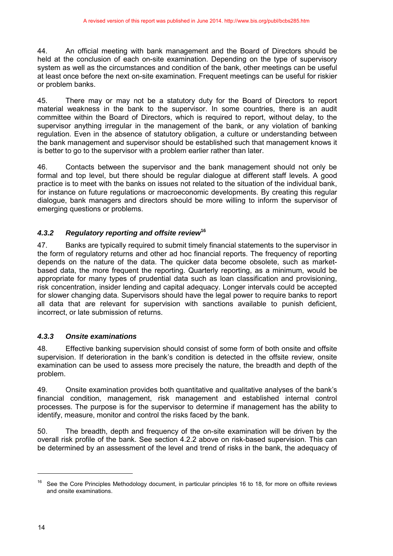44. An official meeting with bank management and the Board of Directors should be held at the conclusion of each on-site examination. Depending on the type of supervisory system as well as the circumstances and condition of the bank, other meetings can be useful at least once before the next on-site examination. Frequent meetings can be useful for riskier or problem banks.

45. There may or may not be a statutory duty for the Board of Directors to report material weakness in the bank to the supervisor. In some countries, there is an audit committee within the Board of Directors, which is required to report, without delay, to the supervisor anything irregular in the management of the bank, or any violation of banking regulation. Even in the absence of statutory obligation, a culture or understanding between the bank management and supervisor should be established such that management knows it is better to go to the supervisor with a problem earlier rather than later.

46. Contacts between the supervisor and the bank management should not only be formal and top level, but there should be regular dialogue at different staff levels. A good practice is to meet with the banks on issues not related to the situation of the individual bank, for instance on future regulations or macroeconomic developments. By creating this regular dialogue, bank managers and directors should be more willing to inform the supervisor of emerging questions or problems.

#### *4.3.2 Regulatory reporting and offsite review***<sup>16</sup>**

47. Banks are typically required to submit timely financial statements to the supervisor in the form of regulatory returns and other ad hoc financial reports. The frequency of reporting depends on the nature of the data. The quicker data become obsolete, such as marketbased data, the more frequent the reporting. Quarterly reporting, as a minimum, would be appropriate for many types of prudential data such as loan classification and provisioning, risk concentration, insider lending and capital adequacy. Longer intervals could be accepted for slower changing data. Supervisors should have the legal power to require banks to report all data that are relevant for supervision with sanctions available to punish deficient, incorrect, or late submission of returns.

#### *4.3.3 Onsite examinations*

48. Effective banking supervision should consist of some form of both onsite and offsite supervision. If deterioration in the bank's condition is detected in the offsite review, onsite examination can be used to assess more precisely the nature, the breadth and depth of the problem.

49. Onsite examination provides both quantitative and qualitative analyses of the bank's financial condition, management, risk management and established internal control processes. The purpose is for the supervisor to determine if management has the ability to identify, measure, monitor and control the risks faced by the bank.

50. The breadth, depth and frequency of the on-site examination will be driven by the overall risk profile of the bank. See section 4.2.2 above on risk-based supervision. This can be determined by an assessment of the level and trend of risks in the bank, the adequacy of

 $\overline{a}$ 

<sup>&</sup>lt;sup>16</sup> See the Core Principles Methodology document, in particular principles 16 to 18, for more on offsite reviews and onsite examinations.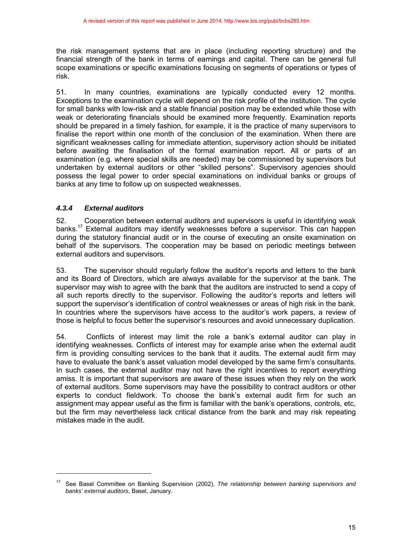the risk management systems that are in place (including reporting structure) and the financial strength of the bank in terms of earnings and capital. There can be general full scope examinations or specific examinations focusing on segments of operations or types of risk.

51. In many countries, examinations are typically conducted every 12 months. Exceptions to the examination cycle will depend on the risk profile of the institution. The cycle for small banks with low-risk and a stable financial position may be extended while those with weak or deteriorating financials should be examined more frequently. Examination reports should be prepared in a timely fashion, for example, it is the practice of many supervisors to finalise the report within one month of the conclusion of the examination. When there are significant weaknesses calling for immediate attention, supervisory action should be initiated before awaiting the finalisation of the formal examination report. All or parts of an examination (e.g. where special skills are needed) may be commissioned by supervisors but undertaken by external auditors or other "skilled persons". Supervisory agencies should possess the legal power to order special examinations on individual banks or groups of banks at any time to follow up on suspected weaknesses.

#### *4.3.4 External auditors*

 $\overline{a}$ 

52. Cooperation between external auditors and supervisors is useful in identifying weak banks.<sup>17</sup> External auditors may identify weaknesses before a supervisor. This can happen during the statutory financial audit or in the course of executing an onsite examination on behalf of the supervisors. The cooperation may be based on periodic meetings between external auditors and supervisors.

53. The supervisor should regularly follow the auditor's reports and letters to the bank and its Board of Directors, which are always available for the supervisor at the bank. The supervisor may wish to agree with the bank that the auditors are instructed to send a copy of all such reports directly to the supervisor. Following the auditor's reports and letters will support the supervisor's identification of control weaknesses or areas of high risk in the bank. In countries where the supervisors have access to the auditor's work papers, a review of those is helpful to focus better the supervisor's resources and avoid unnecessary duplication.

54. Conflicts of interest may limit the role a bank's external auditor can play in identifying weaknesses. Conflicts of interest may for example arise when the external audit firm is providing consulting services to the bank that it audits. The external audit firm may have to evaluate the bank's asset valuation model developed by the same firm's consultants. In such cases, the external auditor may not have the right incentives to report everything amiss. It is important that supervisors are aware of these issues when they rely on the work of external auditors. Some supervisors may have the possibility to contract auditors or other experts to conduct fieldwork. To choose the bank's external audit firm for such an assignment may appear useful as the firm is familiar with the bank's operations, controls, etc, but the firm may nevertheless lack critical distance from the bank and may risk repeating mistakes made in the audit.

<sup>17</sup> See Basel Committee on Banking Supervision (2002), *The relationship between banking supervisors and banks' external auditors*, Basel, January.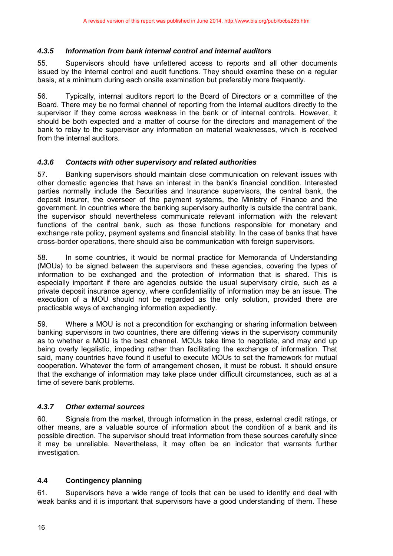#### *4.3.5 Information from bank internal control and internal auditors*

55. Supervisors should have unfettered access to reports and all other documents issued by the internal control and audit functions. They should examine these on a regular basis, at a minimum during each onsite examination but preferably more frequently.

56. Typically, internal auditors report to the Board of Directors or a committee of the Board. There may be no formal channel of reporting from the internal auditors directly to the supervisor if they come across weakness in the bank or of internal controls. However, it should be both expected and a matter of course for the directors and management of the bank to relay to the supervisor any information on material weaknesses, which is received from the internal auditors.

#### *4.3.6 Contacts with other supervisory and related authorities*

57. Banking supervisors should maintain close communication on relevant issues with other domestic agencies that have an interest in the bank's financial condition. Interested parties normally include the Securities and Insurance supervisors, the central bank, the deposit insurer, the overseer of the payment systems, the Ministry of Finance and the government. In countries where the banking supervisory authority is outside the central bank, the supervisor should nevertheless communicate relevant information with the relevant functions of the central bank, such as those functions responsible for monetary and exchange rate policy, payment systems and financial stability. In the case of banks that have cross-border operations, there should also be communication with foreign supervisors.

58. In some countries, it would be normal practice for Memoranda of Understanding (MOUs) to be signed between the supervisors and these agencies, covering the types of information to be exchanged and the protection of information that is shared. This is especially important if there are agencies outside the usual supervisory circle, such as a private deposit insurance agency, where confidentiality of information may be an issue. The execution of a MOU should not be regarded as the only solution, provided there are practicable ways of exchanging information expediently.

59. Where a MOU is not a precondition for exchanging or sharing information between banking supervisors in two countries, there are differing views in the supervisory community as to whether a MOU is the best channel. MOUs take time to negotiate, and may end up being overly legalistic, impeding rather than facilitating the exchange of information. That said, many countries have found it useful to execute MOUs to set the framework for mutual cooperation. Whatever the form of arrangement chosen, it must be robust. It should ensure that the exchange of information may take place under difficult circumstances, such as at a time of severe bank problems.

#### *4.3.7 Other external sources*

60. Signals from the market, through information in the press, external credit ratings, or other means, are a valuable source of information about the condition of a bank and its possible direction. The supervisor should treat information from these sources carefully since it may be unreliable. Nevertheless, it may often be an indicator that warrants further investigation.

#### **4.4 Contingency planning**

61. Supervisors have a wide range of tools that can be used to identify and deal with weak banks and it is important that supervisors have a good understanding of them. These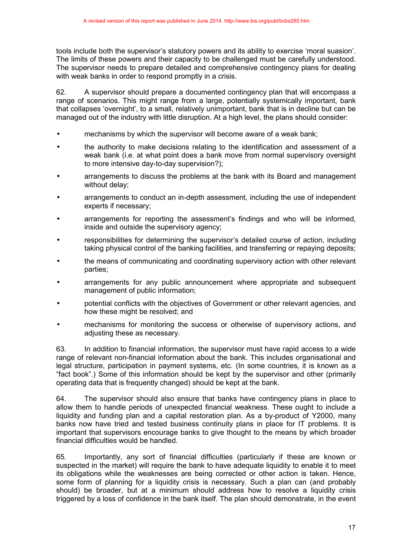tools include both the supervisor's statutory powers and its ability to exercise 'moral suasion'. The limits of these powers and their capacity to be challenged must be carefully understood. The supervisor needs to prepare detailed and comprehensive contingency plans for dealing with weak banks in order to respond promptly in a crisis.

62. A supervisor should prepare a documented contingency plan that will encompass a range of scenarios. This might range from a large, potentially systemically important, bank that collapses 'overnight', to a small, relatively unimportant, bank that is in decline but can be managed out of the industry with little disruption. At a high level, the plans should consider:

- mechanisms by which the supervisor will become aware of a weak bank;
- the authority to make decisions relating to the identification and assessment of a weak bank (i.e. at what point does a bank move from normal supervisory oversight to more intensive day-to-day supervision?);
- arrangements to discuss the problems at the bank with its Board and management without delay;
- arrangements to conduct an in-depth assessment, including the use of independent experts if necessary;
- arrangements for reporting the assessment's findings and who will be informed, inside and outside the supervisory agency;
- responsibilities for determining the supervisor's detailed course of action, including taking physical control of the banking facilities, and transferring or repaying deposits;
- the means of communicating and coordinating supervisory action with other relevant parties;
- arrangements for any public announcement where appropriate and subsequent management of public information;
- potential conflicts with the objectives of Government or other relevant agencies, and how these might be resolved; and
- mechanisms for monitoring the success or otherwise of supervisory actions, and adjusting these as necessary.

63. In addition to financial information, the supervisor must have rapid access to a wide range of relevant non-financial information about the bank. This includes organisational and legal structure, participation in payment systems, etc. (In some countries, it is known as a "fact book".) Some of this information should be kept by the supervisor and other (primarily operating data that is frequently changed) should be kept at the bank.

64. The supervisor should also ensure that banks have contingency plans in place to allow them to handle periods of unexpected financial weakness. These ought to include a liquidity and funding plan and a capital restoration plan. As a by-product of Y2000, many banks now have tried and tested business continuity plans in place for IT problems. It is important that supervisors encourage banks to give thought to the means by which broader financial difficulties would be handled.

65. Importantly, any sort of financial difficulties (particularly if these are known or suspected in the market) will require the bank to have adequate liquidity to enable it to meet its obligations while the weaknesses are being corrected or other action is taken. Hence, some form of planning for a liquidity crisis is necessary. Such a plan can (and probably should) be broader, but at a minimum should address how to resolve a liquidity crisis triggered by a loss of confidence in the bank itself. The plan should demonstrate, in the event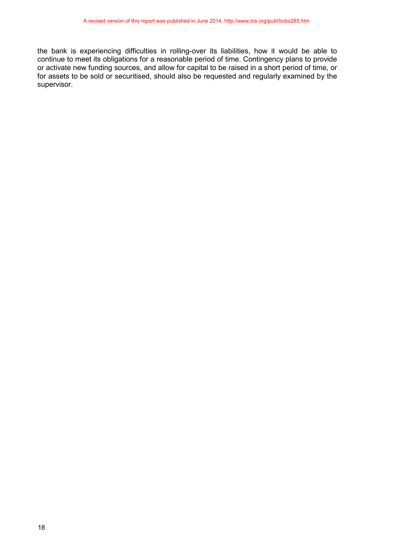the bank is experiencing difficulties in rolling-over its liabilities, how it would be able to continue to meet its obligations for a reasonable period of time. Contingency plans to provide or activate new funding sources, and allow for capital to be raised in a short period of time, or for assets to be sold or securitised, should also be requested and regularly examined by the supervisor.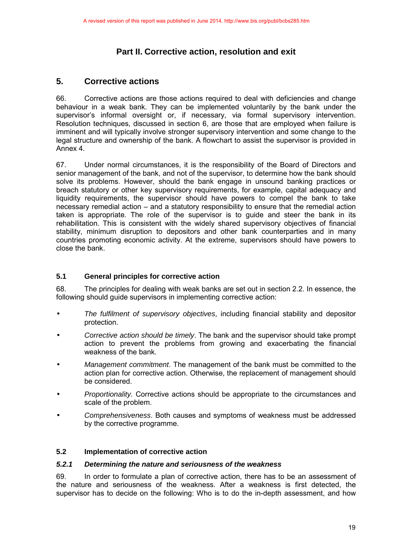## **Part II. Corrective action, resolution and exit**

## **5. Corrective actions**

66. Corrective actions are those actions required to deal with deficiencies and change behaviour in a weak bank. They can be implemented voluntarily by the bank under the supervisor's informal oversight or, if necessary, via formal supervisory intervention. Resolution techniques, discussed in section 6, are those that are employed when failure is imminent and will typically involve stronger supervisory intervention and some change to the legal structure and ownership of the bank. A flowchart to assist the supervisor is provided in Annex 4.

67. Under normal circumstances, it is the responsibility of the Board of Directors and senior management of the bank, and not of the supervisor, to determine how the bank should solve its problems. However, should the bank engage in unsound banking practices or breach statutory or other key supervisory requirements, for example, capital adequacy and liquidity requirements, the supervisor should have powers to compel the bank to take necessary remedial action – and a statutory responsibility to ensure that the remedial action taken is appropriate. The role of the supervisor is to guide and steer the bank in its rehabilitation. This is consistent with the widely shared supervisory objectives of financial stability, minimum disruption to depositors and other bank counterparties and in many countries promoting economic activity. At the extreme, supervisors should have powers to close the bank.

#### **5.1 General principles for corrective action**

68. The principles for dealing with weak banks are set out in section 2.2. In essence, the following should guide supervisors in implementing corrective action:

- *The fulfilment of supervisory objectives*, including financial stability and depositor protection.
- *Corrective action should be timely*. The bank and the supervisor should take prompt action to prevent the problems from growing and exacerbating the financial weakness of the bank.
- *Management commitment*. The management of the bank must be committed to the action plan for corrective action. Otherwise, the replacement of management should be considered.
- *Proportionality.* Corrective actions should be appropriate to the circumstances and scale of the problem.
- *Comprehensiveness*. Both causes and symptoms of weakness must be addressed by the corrective programme.

#### **5.2 Implementation of corrective action**

#### *5.2.1 Determining the nature and seriousness of the weakness*

69. In order to formulate a plan of corrective action, there has to be an assessment of the nature and seriousness of the weakness. After a weakness is first detected, the supervisor has to decide on the following: Who is to do the in-depth assessment, and how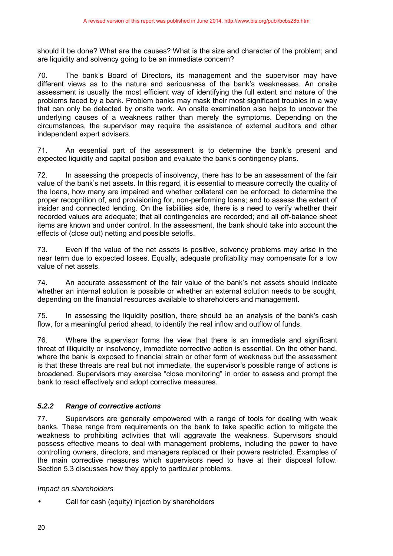should it be done? What are the causes? What is the size and character of the problem; and are liquidity and solvency going to be an immediate concern?

70. The bank's Board of Directors, its management and the supervisor may have different views as to the nature and seriousness of the bank's weaknesses. An onsite assessment is usually the most efficient way of identifying the full extent and nature of the problems faced by a bank. Problem banks may mask their most significant troubles in a way that can only be detected by onsite work. An onsite examination also helps to uncover the underlying causes of a weakness rather than merely the symptoms. Depending on the circumstances, the supervisor may require the assistance of external auditors and other independent expert advisers.

71. An essential part of the assessment is to determine the bank's present and expected liquidity and capital position and evaluate the bank's contingency plans.

72. In assessing the prospects of insolvency, there has to be an assessment of the fair value of the bank's net assets. In this regard, it is essential to measure correctly the quality of the loans, how many are impaired and whether collateral can be enforced; to determine the proper recognition of, and provisioning for, non-performing loans; and to assess the extent of insider and connected lending. On the liabilities side, there is a need to verify whether their recorded values are adequate; that all contingencies are recorded; and all off-balance sheet items are known and under control. In the assessment, the bank should take into account the effects of (close out) netting and possible setoffs.

73. Even if the value of the net assets is positive, solvency problems may arise in the near term due to expected losses. Equally, adequate profitability may compensate for a low value of net assets.

74. An accurate assessment of the fair value of the bank's net assets should indicate whether an internal solution is possible or whether an external solution needs to be sought, depending on the financial resources available to shareholders and management.

75. In assessing the liquidity position, there should be an analysis of the bank's cash flow, for a meaningful period ahead, to identify the real inflow and outflow of funds.

76. Where the supervisor forms the view that there is an immediate and significant threat of illiquidity or insolvency, immediate corrective action is essential. On the other hand, where the bank is exposed to financial strain or other form of weakness but the assessment is that these threats are real but not immediate, the supervisor's possible range of actions is broadened. Supervisors may exercise "close monitoring" in order to assess and prompt the bank to react effectively and adopt corrective measures.

#### *5.2.2 Range of corrective actions*

77. Supervisors are generally empowered with a range of tools for dealing with weak banks. These range from requirements on the bank to take specific action to mitigate the weakness to prohibiting activities that will aggravate the weakness. Supervisors should possess effective means to deal with management problems, including the power to have controlling owners, directors, and managers replaced or their powers restricted. Examples of the main corrective measures which supervisors need to have at their disposal follow. Section 5.3 discusses how they apply to particular problems.

#### *Impact on shareholders*

Call for cash (equity) injection by shareholders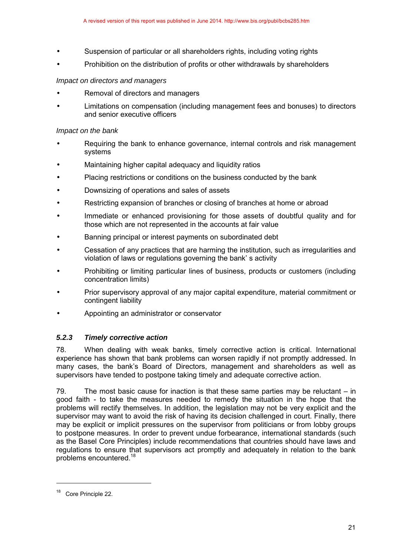- Suspension of particular or all shareholders rights, including voting rights
- Prohibition on the distribution of profits or other withdrawals by shareholders

#### *Impact on directors and managers*

- Removal of directors and managers
- Limitations on compensation (including management fees and bonuses) to directors and senior executive officers

#### *Impact on the bank*

- Requiring the bank to enhance governance, internal controls and risk management systems
- Maintaining higher capital adequacy and liquidity ratios
- Placing restrictions or conditions on the business conducted by the bank
- Downsizing of operations and sales of assets
- Restricting expansion of branches or closing of branches at home or abroad
- Immediate or enhanced provisioning for those assets of doubtful quality and for those which are not represented in the accounts at fair value
- Banning principal or interest payments on subordinated debt
- Cessation of any practices that are harming the institution, such as irregularities and violation of laws or regulations governing the bank' s activity
- Prohibiting or limiting particular lines of business, products or customers (including concentration limits)
- Prior supervisory approval of any major capital expenditure, material commitment or contingent liability
- Appointing an administrator or conservator

### *5.2.3 Timely corrective action*

78. When dealing with weak banks, timely corrective action is critical. International experience has shown that bank problems can worsen rapidly if not promptly addressed. In many cases, the bank's Board of Directors, management and shareholders as well as supervisors have tended to postpone taking timely and adequate corrective action.

79. The most basic cause for inaction is that these same parties may be reluctant – in good faith - to take the measures needed to remedy the situation in the hope that the problems will rectify themselves. In addition, the legislation may not be very explicit and the supervisor may want to avoid the risk of having its decision challenged in court. Finally, there may be explicit or implicit pressures on the supervisor from politicians or from lobby groups to postpone measures. In order to prevent undue forbearance, international standards (such as the Basel Core Principles) include recommendations that countries should have laws and regulations to ensure that supervisors act promptly and adequately in relation to the bank problems encountered.18

 $\overline{a}$ 

<sup>&</sup>lt;sup>18</sup> Core Principle 22.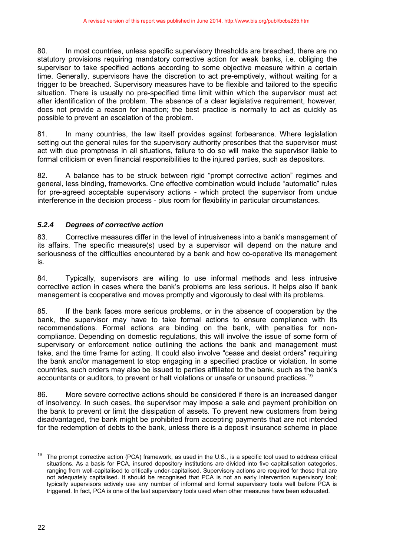80. In most countries, unless specific supervisory thresholds are breached, there are no statutory provisions requiring mandatory corrective action for weak banks, i.e. obliging the supervisor to take specified actions according to some objective measure within a certain time. Generally, supervisors have the discretion to act pre-emptively, without waiting for a trigger to be breached. Supervisory measures have to be flexible and tailored to the specific situation. There is usually no pre-specified time limit within which the supervisor must act after identification of the problem. The absence of a clear legislative requirement, however, does not provide a reason for inaction; the best practice is normally to act as quickly as possible to prevent an escalation of the problem.

81. In many countries, the law itself provides against forbearance. Where legislation setting out the general rules for the supervisory authority prescribes that the supervisor must act with due promptness in all situations, failure to do so will make the supervisor liable to formal criticism or even financial responsibilities to the injured parties, such as depositors.

82. A balance has to be struck between rigid "prompt corrective action" regimes and general, less binding, frameworks. One effective combination would include "automatic" rules for pre-agreed acceptable supervisory actions - which protect the supervisor from undue interference in the decision process - plus room for flexibility in particular circumstances.

#### *5.2.4 Degrees of corrective action*

83. Corrective measures differ in the level of intrusiveness into a bank's management of its affairs. The specific measure(s) used by a supervisor will depend on the nature and seriousness of the difficulties encountered by a bank and how co-operative its management is.

84. Typically, supervisors are willing to use informal methods and less intrusive corrective action in cases where the bank's problems are less serious. It helps also if bank management is cooperative and moves promptly and vigorously to deal with its problems.

85. If the bank faces more serious problems, or in the absence of cooperation by the bank, the supervisor may have to take formal actions to ensure compliance with its recommendations. Formal actions are binding on the bank, with penalties for noncompliance. Depending on domestic regulations, this will involve the issue of some form of supervisory or enforcement notice outlining the actions the bank and management must take, and the time frame for acting. It could also involve "cease and desist orders" requiring the bank and/or management to stop engaging in a specified practice or violation. In some countries, such orders may also be issued to parties affiliated to the bank, such as the bank's accountants or auditors, to prevent or halt violations or unsafe or unsound practices.<sup>19</sup>

86. More severe corrective actions should be considered if there is an increased danger of insolvency. In such cases, the supervisor may impose a sale and payment prohibition on the bank to prevent or limit the dissipation of assets. To prevent new customers from being disadvantaged, the bank might be prohibited from accepting payments that are not intended for the redemption of debts to the bank, unless there is a deposit insurance scheme in place

 $\ddot{\phantom{a}}$ 

 $19$  The prompt corrective action (PCA) framework, as used in the U.S., is a specific tool used to address critical situations. As a basis for PCA, insured depository institutions are divided into five capitalisation categories, ranging from well-capitalised to critically under-capitalised. Supervisory actions are required for those that are not adequately capitalised. It should be recognised that PCA is not an early intervention supervisory tool; typically supervisors actively use any number of informal and formal supervisory tools well before PCA is triggered. In fact, PCA is one of the last supervisory tools used when other measures have been exhausted.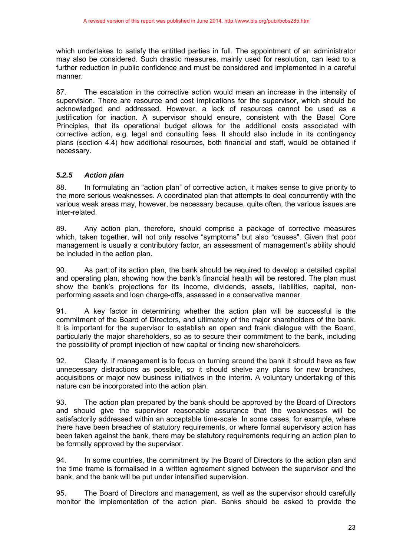which undertakes to satisfy the entitled parties in full. The appointment of an administrator may also be considered. Such drastic measures, mainly used for resolution, can lead to a further reduction in public confidence and must be considered and implemented in a careful manner.

87. The escalation in the corrective action would mean an increase in the intensity of supervision. There are resource and cost implications for the supervisor, which should be acknowledged and addressed. However, a lack of resources cannot be used as a justification for inaction. A supervisor should ensure, consistent with the Basel Core Principles, that its operational budget allows for the additional costs associated with corrective action, e.g. legal and consulting fees. It should also include in its contingency plans (section 4.4) how additional resources, both financial and staff, would be obtained if necessary.

#### *5.2.5 Action plan*

88. In formulating an "action plan" of corrective action, it makes sense to give priority to the more serious weaknesses. A coordinated plan that attempts to deal concurrently with the various weak areas may, however, be necessary because, quite often, the various issues are inter-related.

89. Any action plan, therefore, should comprise a package of corrective measures which, taken together, will not only resolve "symptoms" but also "causes". Given that poor management is usually a contributory factor, an assessment of management's ability should be included in the action plan.

90. As part of its action plan, the bank should be required to develop a detailed capital and operating plan, showing how the bank's financial health will be restored. The plan must show the bank's projections for its income, dividends, assets, liabilities, capital, nonperforming assets and loan charge-offs, assessed in a conservative manner.

91. A key factor in determining whether the action plan will be successful is the commitment of the Board of Directors, and ultimately of the major shareholders of the bank. It is important for the supervisor to establish an open and frank dialogue with the Board, particularly the major shareholders, so as to secure their commitment to the bank, including the possibility of prompt injection of new capital or finding new shareholders.

92. Clearly, if management is to focus on turning around the bank it should have as few unnecessary distractions as possible, so it should shelve any plans for new branches, acquisitions or major new business initiatives in the interim. A voluntary undertaking of this nature can be incorporated into the action plan.

93. The action plan prepared by the bank should be approved by the Board of Directors and should give the supervisor reasonable assurance that the weaknesses will be satisfactorily addressed within an acceptable time-scale. In some cases, for example, where there have been breaches of statutory requirements, or where formal supervisory action has been taken against the bank, there may be statutory requirements requiring an action plan to be formally approved by the supervisor.

94. In some countries, the commitment by the Board of Directors to the action plan and the time frame is formalised in a written agreement signed between the supervisor and the bank, and the bank will be put under intensified supervision.

95. The Board of Directors and management, as well as the supervisor should carefully monitor the implementation of the action plan. Banks should be asked to provide the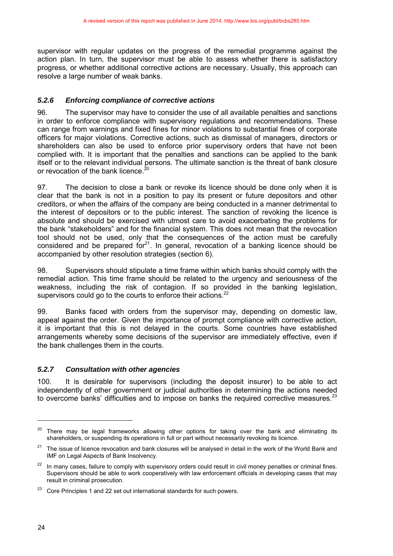supervisor with regular updates on the progress of the remedial programme against the action plan. In turn, the supervisor must be able to assess whether there is satisfactory progress, or whether additional corrective actions are necessary. Usually, this approach can resolve a large number of weak banks.

#### *5.2.6 Enforcing compliance of corrective actions*

96. The supervisor may have to consider the use of all available penalties and sanctions in order to enforce compliance with supervisory regulations and recommendations. These can range from warnings and fixed fines for minor violations to substantial fines of corporate officers for major violations. Corrective actions, such as dismissal of managers, directors or shareholders can also be used to enforce prior supervisory orders that have not been complied with. It is important that the penalties and sanctions can be applied to the bank itself or to the relevant individual persons. The ultimate sanction is the threat of bank closure or revocation of the bank licence.<sup>2</sup>

97. The decision to close a bank or revoke its licence should be done only when it is clear that the bank is not in a position to pay its present or future depositors and other creditors, or when the affairs of the company are being conducted in a manner detrimental to the interest of depositors or to the public interest. The sanction of revoking the licence is absolute and should be exercised with utmost care to avoid exacerbating the problems for the bank "stakeholders" and for the financial system. This does not mean that the revocation tool should not be used, only that the consequences of the action must be carefully considered and be prepared for $21$ . In general, revocation of a banking licence should be accompanied by other resolution strategies (section 6).

98. Supervisors should stipulate a time frame within which banks should comply with the remedial action. This time frame should be related to the urgency and seriousness of the weakness, including the risk of contagion. If so provided in the banking legislation, supervisors could go to the courts to enforce their actions.<sup>22</sup>

99. Banks faced with orders from the supervisor may, depending on domestic law, appeal against the order. Given the importance of prompt compliance with corrective action, it is important that this is not delayed in the courts. Some countries have established arrangements whereby some decisions of the supervisor are immediately effective, even if the bank challenges them in the courts.

#### *5.2.7 Consultation with other agencies*

100. It is desirable for supervisors (including the deposit insurer) to be able to act independently of other government or judicial authorities in determining the actions needed to overcome banks' difficulties and to impose on banks the required corrective measures. $^{23}$ 

 $\overline{a}$ 

 $20$  There may be legal frameworks allowing other options for taking over the bank and eliminating its shareholders, or suspending its operations in full or part without necessarily revoking its licence.

 $21$  The issue of licence revocation and bank closures will be analysed in detail in the work of the World Bank and IMF on Legal Aspects of Bank Insolvency.

 $22$  In many cases, failure to comply with supervisory orders could result in civil money penalties or criminal fines. Supervisors should be able to work cooperatively with law enforcement officials in developing cases that may result in criminal prosecution.

 $23$  Core Principles 1 and 22 set out international standards for such powers.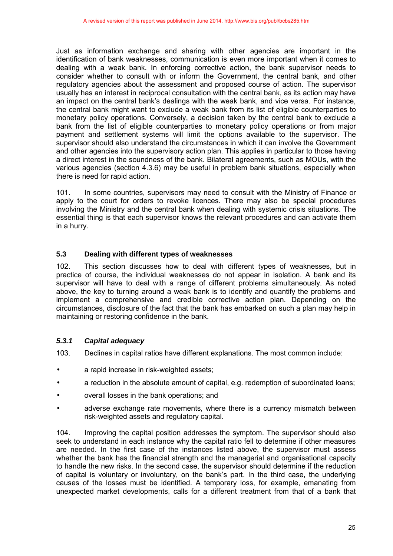Just as information exchange and sharing with other agencies are important in the identification of bank weaknesses, communication is even more important when it comes to dealing with a weak bank. In enforcing corrective action, the bank supervisor needs to consider whether to consult with or inform the Government, the central bank, and other regulatory agencies about the assessment and proposed course of action. The supervisor usually has an interest in reciprocal consultation with the central bank, as its action may have an impact on the central bank's dealings with the weak bank, and vice versa. For instance, the central bank might want to exclude a weak bank from its list of eligible counterparties to monetary policy operations. Conversely, a decision taken by the central bank to exclude a bank from the list of eligible counterparties to monetary policy operations or from major payment and settlement systems will limit the options available to the supervisor. The supervisor should also understand the circumstances in which it can involve the Government and other agencies into the supervisory action plan. This applies in particular to those having a direct interest in the soundness of the bank. Bilateral agreements, such as MOUs, with the various agencies (section 4.3.6) may be useful in problem bank situations, especially when there is need for rapid action.

101. In some countries, supervisors may need to consult with the Ministry of Finance or apply to the court for orders to revoke licences. There may also be special procedures involving the Ministry and the central bank when dealing with systemic crisis situations. The essential thing is that each supervisor knows the relevant procedures and can activate them in a hurry.

#### **5.3 Dealing with different types of weaknesses**

102. This section discusses how to deal with different types of weaknesses, but in practice of course, the individual weaknesses do not appear in isolation. A bank and its supervisor will have to deal with a range of different problems simultaneously. As noted above, the key to turning around a weak bank is to identify and quantify the problems and implement a comprehensive and credible corrective action plan. Depending on the circumstances, disclosure of the fact that the bank has embarked on such a plan may help in maintaining or restoring confidence in the bank.

#### *5.3.1 Capital adequacy*

103. Declines in capital ratios have different explanations. The most common include:

- a rapid increase in risk-weighted assets;
- a reduction in the absolute amount of capital, e.g. redemption of subordinated loans;
- overall losses in the bank operations; and
- adverse exchange rate movements, where there is a currency mismatch between risk-weighted assets and regulatory capital.

104. Improving the capital position addresses the symptom. The supervisor should also seek to understand in each instance why the capital ratio fell to determine if other measures are needed. In the first case of the instances listed above, the supervisor must assess whether the bank has the financial strength and the managerial and organisational capacity to handle the new risks. In the second case, the supervisor should determine if the reduction of capital is voluntary or involuntary, on the bank's part. In the third case, the underlying causes of the losses must be identified. A temporary loss, for example, emanating from unexpected market developments, calls for a different treatment from that of a bank that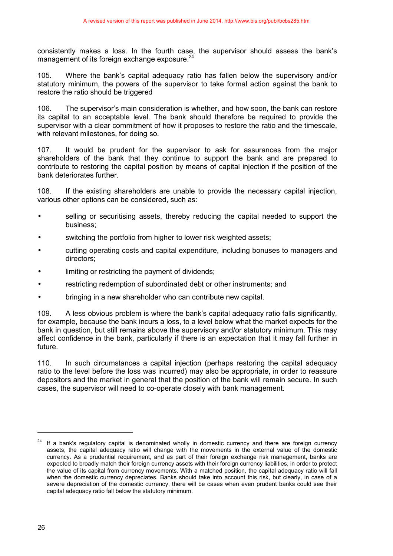consistently makes a loss. In the fourth case, the supervisor should assess the bank's management of its foreign exchange exposure.<sup>24</sup>

105. Where the bank's capital adequacy ratio has fallen below the supervisory and/or statutory minimum, the powers of the supervisor to take formal action against the bank to restore the ratio should be triggered

106. The supervisor's main consideration is whether, and how soon, the bank can restore its capital to an acceptable level. The bank should therefore be required to provide the supervisor with a clear commitment of how it proposes to restore the ratio and the timescale, with relevant milestones, for doing so.

107. It would be prudent for the supervisor to ask for assurances from the major shareholders of the bank that they continue to support the bank and are prepared to contribute to restoring the capital position by means of capital injection if the position of the bank deteriorates further.

108. If the existing shareholders are unable to provide the necessary capital injection, various other options can be considered, such as:

- selling or securitising assets, thereby reducing the capital needed to support the business;
- switching the portfolio from higher to lower risk weighted assets;
- cutting operating costs and capital expenditure, including bonuses to managers and directors;
- limiting or restricting the payment of dividends;
- restricting redemption of subordinated debt or other instruments; and
- bringing in a new shareholder who can contribute new capital.

109. A less obvious problem is where the bank's capital adequacy ratio falls significantly, for example, because the bank incurs a loss, to a level below what the market expects for the bank in question, but still remains above the supervisory and/or statutory minimum. This may affect confidence in the bank, particularly if there is an expectation that it may fall further in future.

110. In such circumstances a capital injection (perhaps restoring the capital adequacy ratio to the level before the loss was incurred) may also be appropriate, in order to reassure depositors and the market in general that the position of the bank will remain secure. In such cases, the supervisor will need to co-operate closely with bank management.

 $\overline{a}$ 

 $24$  If a bank's regulatory capital is denominated wholly in domestic currency and there are foreign currency assets, the capital adequacy ratio will change with the movements in the external value of the domestic currency. As a prudential requirement, and as part of their foreign exchange risk management, banks are expected to broadly match their foreign currency assets with their foreign currency liabilities, in order to protect the value of its capital from currency movements. With a matched position, the capital adequacy ratio will fall when the domestic currency depreciates. Banks should take into account this risk, but clearly, in case of a severe depreciation of the domestic currency, there will be cases when even prudent banks could see their capital adequacy ratio fall below the statutory minimum.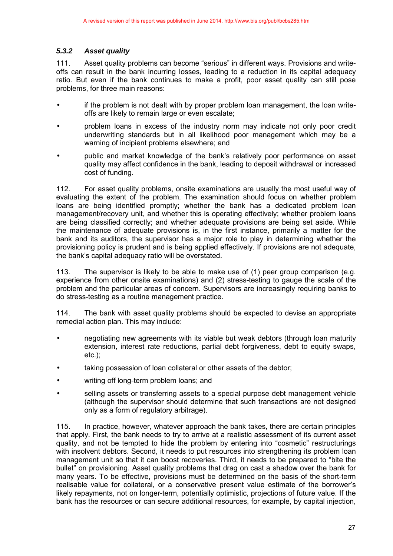#### *5.3.2 Asset quality*

111. Asset quality problems can become "serious" in different ways. Provisions and writeoffs can result in the bank incurring losses, leading to a reduction in its capital adequacy ratio. But even if the bank continues to make a profit, poor asset quality can still pose problems, for three main reasons:

- if the problem is not dealt with by proper problem loan management, the loan writeoffs are likely to remain large or even escalate;
- problem loans in excess of the industry norm may indicate not only poor credit underwriting standards but in all likelihood poor management which may be a warning of incipient problems elsewhere; and
- public and market knowledge of the bank's relatively poor performance on asset quality may affect confidence in the bank, leading to deposit withdrawal or increased cost of funding.

112. For asset quality problems, onsite examinations are usually the most useful way of evaluating the extent of the problem. The examination should focus on whether problem loans are being identified promptly; whether the bank has a dedicated problem loan management/recovery unit, and whether this is operating effectively; whether problem loans are being classified correctly; and whether adequate provisions are being set aside. While the maintenance of adequate provisions is, in the first instance, primarily a matter for the bank and its auditors, the supervisor has a major role to play in determining whether the provisioning policy is prudent and is being applied effectively. If provisions are not adequate, the bank's capital adequacy ratio will be overstated.

113. The supervisor is likely to be able to make use of (1) peer group comparison (e.g. experience from other onsite examinations) and (2) stress-testing to gauge the scale of the problem and the particular areas of concern. Supervisors are increasingly requiring banks to do stress-testing as a routine management practice.

114. The bank with asset quality problems should be expected to devise an appropriate remedial action plan. This may include:

- negotiating new agreements with its viable but weak debtors (through loan maturity extension, interest rate reductions, partial debt forgiveness, debt to equity swaps, etc.);
- taking possession of loan collateral or other assets of the debtor;
- writing off long-term problem loans; and
- selling assets or transferring assets to a special purpose debt management vehicle (although the supervisor should determine that such transactions are not designed only as a form of regulatory arbitrage).

115. In practice, however, whatever approach the bank takes, there are certain principles that apply. First, the bank needs to try to arrive at a realistic assessment of its current asset quality, and not be tempted to hide the problem by entering into "cosmetic" restructurings with insolvent debtors. Second, it needs to put resources into strengthening its problem loan management unit so that it can boost recoveries. Third, it needs to be prepared to "bite the bullet" on provisioning. Asset quality problems that drag on cast a shadow over the bank for many years. To be effective, provisions must be determined on the basis of the short-term realisable value for collateral, or a conservative present value estimate of the borrower's likely repayments, not on longer-term, potentially optimistic, projections of future value. If the bank has the resources or can secure additional resources, for example, by capital injection,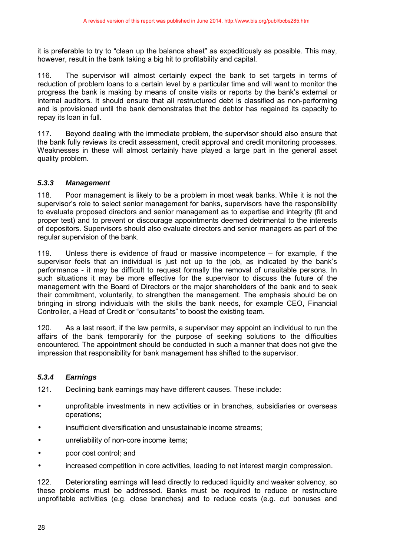it is preferable to try to "clean up the balance sheet" as expeditiously as possible. This may, however, result in the bank taking a big hit to profitability and capital.

116. The supervisor will almost certainly expect the bank to set targets in terms of reduction of problem loans to a certain level by a particular time and will want to monitor the progress the bank is making by means of onsite visits or reports by the bank's external or internal auditors. It should ensure that all restructured debt is classified as non-performing and is provisioned until the bank demonstrates that the debtor has regained its capacity to repay its loan in full.

117. Beyond dealing with the immediate problem, the supervisor should also ensure that the bank fully reviews its credit assessment, credit approval and credit monitoring processes. Weaknesses in these will almost certainly have played a large part in the general asset quality problem.

#### *5.3.3 Management*

118. Poor management is likely to be a problem in most weak banks. While it is not the supervisor's role to select senior management for banks, supervisors have the responsibility to evaluate proposed directors and senior management as to expertise and integrity (fit and proper test) and to prevent or discourage appointments deemed detrimental to the interests of depositors. Supervisors should also evaluate directors and senior managers as part of the regular supervision of the bank.

119. Unless there is evidence of fraud or massive incompetence – for example, if the supervisor feels that an individual is just not up to the job, as indicated by the bank's performance - it may be difficult to request formally the removal of unsuitable persons. In such situations it may be more effective for the supervisor to discuss the future of the management with the Board of Directors or the major shareholders of the bank and to seek their commitment, voluntarily, to strengthen the management. The emphasis should be on bringing in strong individuals with the skills the bank needs, for example CEO, Financial Controller, a Head of Credit or "consultants" to boost the existing team.

120. As a last resort, if the law permits, a supervisor may appoint an individual to run the affairs of the bank temporarily for the purpose of seeking solutions to the difficulties encountered. The appointment should be conducted in such a manner that does not give the impression that responsibility for bank management has shifted to the supervisor.

#### *5.3.4 Earnings*

121. Declining bank earnings may have different causes. These include:

- unprofitable investments in new activities or in branches, subsidiaries or overseas operations;
- insufficient diversification and unsustainable income streams:
- unreliability of non-core income items:
- poor cost control; and
- increased competition in core activities, leading to net interest margin compression.

122. Deteriorating earnings will lead directly to reduced liquidity and weaker solvency, so these problems must be addressed. Banks must be required to reduce or restructure unprofitable activities (e.g. close branches) and to reduce costs (e.g. cut bonuses and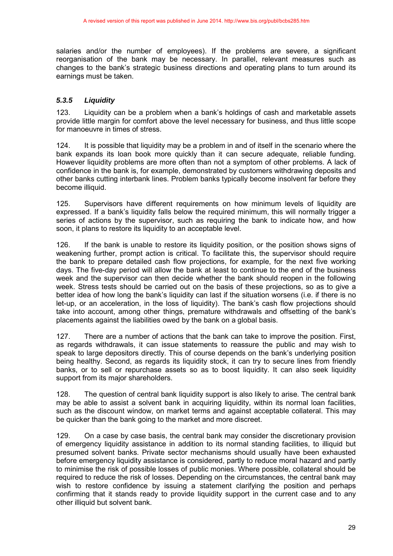salaries and/or the number of employees). If the problems are severe, a significant reorganisation of the bank may be necessary. In parallel, relevant measures such as changes to the bank's strategic business directions and operating plans to turn around its earnings must be taken.

#### *5.3.5 Liquidity*

123. Liquidity can be a problem when a bank's holdings of cash and marketable assets provide little margin for comfort above the level necessary for business, and thus little scope for manoeuvre in times of stress.

124. It is possible that liquidity may be a problem in and of itself in the scenario where the bank expands its loan book more quickly than it can secure adequate, reliable funding. However liquidity problems are more often than not a symptom of other problems. A lack of confidence in the bank is, for example, demonstrated by customers withdrawing deposits and other banks cutting interbank lines. Problem banks typically become insolvent far before they become illiquid.

125. Supervisors have different requirements on how minimum levels of liquidity are expressed. If a bank's liquidity falls below the required minimum, this will normally trigger a series of actions by the supervisor, such as requiring the bank to indicate how, and how soon, it plans to restore its liquidity to an acceptable level.

126. If the bank is unable to restore its liquidity position, or the position shows signs of weakening further, prompt action is critical. To facilitate this, the supervisor should require the bank to prepare detailed cash flow projections, for example, for the next five working days. The five-day period will allow the bank at least to continue to the end of the business week and the supervisor can then decide whether the bank should reopen in the following week. Stress tests should be carried out on the basis of these projections, so as to give a better idea of how long the bank's liquidity can last if the situation worsens (i.e. if there is no let-up, or an acceleration, in the loss of liquidity). The bank's cash flow projections should take into account, among other things, premature withdrawals and offsetting of the bank's placements against the liabilities owed by the bank on a global basis.

127. There are a number of actions that the bank can take to improve the position. First, as regards withdrawals, it can issue statements to reassure the public and may wish to speak to large depositors directly. This of course depends on the bank's underlying position being healthy. Second, as regards its liquidity stock, it can try to secure lines from friendly banks, or to sell or repurchase assets so as to boost liquidity. It can also seek liquidity support from its major shareholders.

128. The question of central bank liquidity support is also likely to arise. The central bank may be able to assist a solvent bank in acquiring liquidity, within its normal loan facilities, such as the discount window, on market terms and against acceptable collateral. This may be quicker than the bank going to the market and more discreet.

129. On a case by case basis, the central bank may consider the discretionary provision of emergency liquidity assistance in addition to its normal standing facilities, to illiquid but presumed solvent banks. Private sector mechanisms should usually have been exhausted before emergency liquidity assistance is considered, partly to reduce moral hazard and partly to minimise the risk of possible losses of public monies. Where possible, collateral should be required to reduce the risk of losses. Depending on the circumstances, the central bank may wish to restore confidence by issuing a statement clarifying the position and perhaps confirming that it stands ready to provide liquidity support in the current case and to any other illiquid but solvent bank.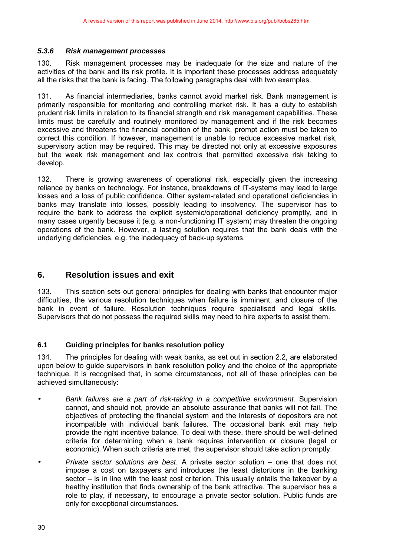#### *5.3.6 Risk management processes*

130. Risk management processes may be inadequate for the size and nature of the activities of the bank and its risk profile. It is important these processes address adequately all the risks that the bank is facing. The following paragraphs deal with two examples.

131. As financial intermediaries, banks cannot avoid market risk. Bank management is primarily responsible for monitoring and controlling market risk. It has a duty to establish prudent risk limits in relation to its financial strength and risk management capabilities. These limits must be carefully and routinely monitored by management and if the risk becomes excessive and threatens the financial condition of the bank, prompt action must be taken to correct this condition. If however, management is unable to reduce excessive market risk, supervisory action may be required. This may be directed not only at excessive exposures but the weak risk management and lax controls that permitted excessive risk taking to develop.

132. There is growing awareness of operational risk, especially given the increasing reliance by banks on technology. For instance, breakdowns of IT-systems may lead to large losses and a loss of public confidence. Other system-related and operational deficiencies in banks may translate into losses, possibly leading to insolvency. The supervisor has to require the bank to address the explicit systemic/operational deficiency promptly, and in many cases urgently because it (e.g. a non-functioning IT system) may threaten the ongoing operations of the bank. However, a lasting solution requires that the bank deals with the underlying deficiencies, e.g. the inadequacy of back-up systems.

#### **6. Resolution issues and exit**

133. This section sets out general principles for dealing with banks that encounter major difficulties, the various resolution techniques when failure is imminent, and closure of the bank in event of failure. Resolution techniques require specialised and legal skills. Supervisors that do not possess the required skills may need to hire experts to assist them.

#### **6.1 Guiding principles for banks resolution policy**

134. The principles for dealing with weak banks, as set out in section 2.2, are elaborated upon below to guide supervisors in bank resolution policy and the choice of the appropriate technique. It is recognised that, in some circumstances, not all of these principles can be achieved simultaneously:

- *Bank failures are a part of risk-taking in a competitive environment.* Supervision cannot, and should not, provide an absolute assurance that banks will not fail. The objectives of protecting the financial system and the interests of depositors are not incompatible with individual bank failures. The occasional bank exit may help provide the right incentive balance. To deal with these, there should be well-defined criteria for determining when a bank requires intervention or closure (legal or economic). When such criteria are met, the supervisor should take action promptly.
- *Private sector solutions are best*. A private sector solution one that does not impose a cost on taxpayers and introduces the least distortions in the banking sector – is in line with the least cost criterion. This usually entails the takeover by a healthy institution that finds ownership of the bank attractive. The supervisor has a role to play, if necessary, to encourage a private sector solution. Public funds are only for exceptional circumstances.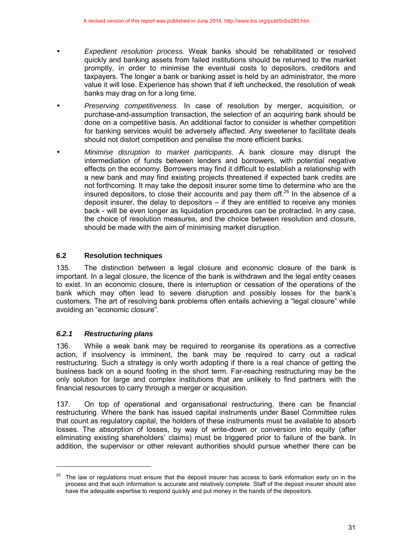- *Expedient resolution process.* Weak banks should be rehabilitated or resolved quickly and banking assets from failed institutions should be returned to the market promptly, in order to minimise the eventual costs to depositors, creditors and taxpayers. The longer a bank or banking asset is held by an administrator, the more value it will lose. Experience has shown that if left unchecked, the resolution of weak banks may drag on for a long time.
- *Preserving competitiveness*. In case of resolution by merger, acquisition, or purchase-and-assumption transaction, the selection of an acquiring bank should be done on a competitive basis. An additional factor to consider is whether competition for banking services would be adversely affected. Any sweetener to facilitate deals should not distort competition and penalise the more efficient banks.
- *Minimise disruption to market participants*. A bank closure may disrupt the intermediation of funds between lenders and borrowers, with potential negative effects on the economy. Borrowers may find it difficult to establish a relationship with a new bank and may find existing projects threatened if expected bank credits are not forthcoming. It may take the deposit insurer some time to determine who are the insured depositors, to close their accounts and pay them off. $25$  In the absence of a deposit insurer, the delay to depositors – if they are entitled to receive any monies back - will be even longer as liquidation procedures can be protracted. In any case, the choice of resolution measures, and the choice between resolution and closure, should be made with the aim of minimising market disruption.

#### **6.2 Resolution techniques**

135. The distinction between a legal closure and economic closure of the bank is important. In a legal closure, the licence of the bank is withdrawn and the legal entity ceases to exist. In an economic closure, there is interruption or cessation of the operations of the bank which may often lead to severe disruption and possibly losses for the bank's customers. The art of resolving bank problems often entails achieving a "legal closure" while avoiding an "economic closure".

#### *6.2.1 Restructuring plans*

 $\overline{a}$ 

136. While a weak bank may be required to reorganise its operations as a corrective action, if insolvency is imminent, the bank may be required to carry out a radical restructuring. Such a strategy is only worth adopting if there is a real chance of getting the business back on a sound footing in the short term. Far-reaching restructuring may be the only solution for large and complex institutions that are unlikely to find partners with the financial resources to carry through a merger or acquisition.

137. On top of operational and organisational restructuring, there can be financial restructuring. Where the bank has issued capital instruments under Basel Committee rules that count as regulatory capital, the holders of these instruments must be available to absorb losses. The absorption of losses, by way of write-down or conversion into equity (after eliminating existing shareholders' claims) must be triggered prior to failure of the bank. In addition, the supervisor or other relevant authorities should pursue whether there can be

 $25$  The law or regulations must ensure that the deposit insurer has access to bank information early on in the process and that such information is accurate and relatively complete. Staff of the deposit insurer should also have the adequate expertise to respond quickly and put money in the hands of the depositors.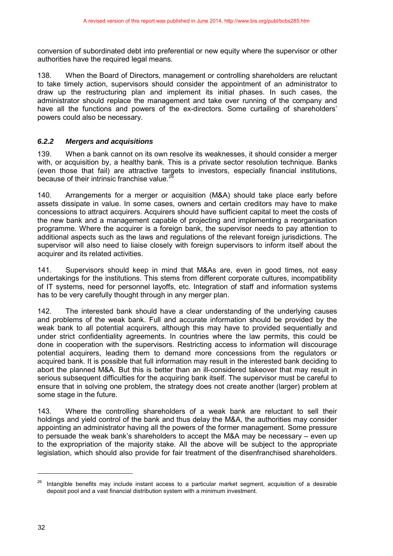conversion of subordinated debt into preferential or new equity where the supervisor or other authorities have the required legal means.

138. When the Board of Directors, management or controlling shareholders are reluctant to take timely action, supervisors should consider the appointment of an administrator to draw up the restructuring plan and implement its initial phases. In such cases, the administrator should replace the management and take over running of the company and have all the functions and powers of the ex-directors. Some curtailing of shareholders' powers could also be necessary.

#### *6.2.2 Mergers and acquisitions*

139. When a bank cannot on its own resolve its weaknesses, it should consider a merger with, or acquisition by, a healthy bank. This is a private sector resolution technique. Banks (even those that fail) are attractive targets to investors, especially financial institutions, because of their intrinsic franchise value.<sup>2</sup>

140. Arrangements for a merger or acquisition (M&A) should take place early before assets dissipate in value. In some cases, owners and certain creditors may have to make concessions to attract acquirers. Acquirers should have sufficient capital to meet the costs of the new bank and a management capable of projecting and implementing a reorganisation programme. Where the acquirer is a foreign bank, the supervisor needs to pay attention to additional aspects such as the laws and regulations of the relevant foreign jurisdictions. The supervisor will also need to liaise closely with foreign supervisors to inform itself about the acquirer and its related activities.

141. Supervisors should keep in mind that M&As are, even in good times, not easy undertakings for the institutions. This stems from different corporate cultures, incompatibility of IT systems, need for personnel layoffs, etc. Integration of staff and information systems has to be very carefully thought through in any merger plan.

142. The interested bank should have a clear understanding of the underlying causes and problems of the weak bank. Full and accurate information should be provided by the weak bank to all potential acquirers, although this may have to provided sequentially and under strict confidentiality agreements. In countries where the law permits, this could be done in cooperation with the supervisors. Restricting access to information will discourage potential acquirers, leading them to demand more concessions from the regulators or acquired bank. It is possible that full information may result in the interested bank deciding to abort the planned M&A. But this is better than an ill-considered takeover that may result in serious subsequent difficulties for the acquiring bank itself. The supervisor must be careful to ensure that in solving one problem, the strategy does not create another (larger) problem at some stage in the future.

143. Where the controlling shareholders of a weak bank are reluctant to sell their holdings and yield control of the bank and thus delay the M&A, the authorities may consider appointing an administrator having all the powers of the former management. Some pressure to persuade the weak bank's shareholders to accept the M&A may be necessary – even up to the expropriation of the majority stake. All the above will be subject to the appropriate legislation, which should also provide for fair treatment of the disenfranchised shareholders.

 $\overline{a}$ 

<sup>&</sup>lt;sup>26</sup> Intangible benefits may include instant access to a particular market segment, acquisition of a desirable deposit pool and a vast financial distribution system with a minimum investment.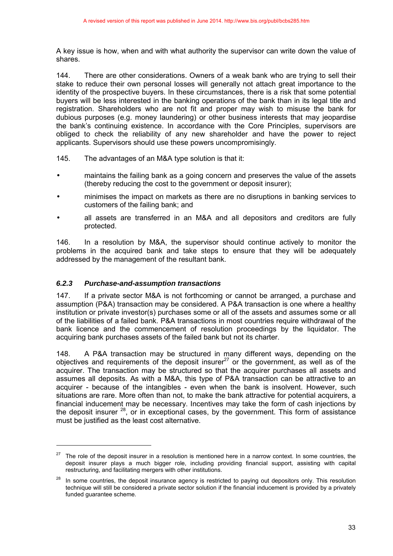A key issue is how, when and with what authority the supervisor can write down the value of shares.

144. There are other considerations. Owners of a weak bank who are trying to sell their stake to reduce their own personal losses will generally not attach great importance to the identity of the prospective buyers. In these circumstances, there is a risk that some potential buyers will be less interested in the banking operations of the bank than in its legal title and registration. Shareholders who are not fit and proper may wish to misuse the bank for dubious purposes (e.g. money laundering) or other business interests that may jeopardise the bank's continuing existence. In accordance with the Core Principles, supervisors are obliged to check the reliability of any new shareholder and have the power to reject applicants. Supervisors should use these powers uncompromisingly.

- 145. The advantages of an M&A type solution is that it:
- maintains the failing bank as a going concern and preserves the value of the assets (thereby reducing the cost to the government or deposit insurer);
- minimises the impact on markets as there are no disruptions in banking services to customers of the failing bank; and
- all assets are transferred in an M&A and all depositors and creditors are fully protected.

146. In a resolution by M&A, the supervisor should continue actively to monitor the problems in the acquired bank and take steps to ensure that they will be adequately addressed by the management of the resultant bank.

#### *6.2.3 Purchase-and-assumption transactions*

 $\overline{a}$ 

147. If a private sector M&A is not forthcoming or cannot be arranged, a purchase and assumption (P&A) transaction may be considered. A P&A transaction is one where a healthy institution or private investor(s) purchases some or all of the assets and assumes some or all of the liabilities of a failed bank. P&A transactions in most countries require withdrawal of the bank licence and the commencement of resolution proceedings by the liquidator. The acquiring bank purchases assets of the failed bank but not its charter.

148. A P&A transaction may be structured in many different ways, depending on the objectives and requirements of the deposit insurer<sup>27</sup> or the government, as well as of the acquirer. The transaction may be structured so that the acquirer purchases all assets and assumes all deposits. As with a M&A, this type of P&A transaction can be attractive to an acquirer - because of the intangibles - even when the bank is insolvent. However, such situations are rare. More often than not, to make the bank attractive for potential acquirers, a financial inducement may be necessary. Incentives may take the form of cash injections by the deposit insurer  $^{28}$ , or in exceptional cases, by the government. This form of assistance must be justified as the least cost alternative.

 $27$  The role of the deposit insurer in a resolution is mentioned here in a narrow context. In some countries, the deposit insurer plays a much bigger role, including providing financial support, assisting with capital restructuring, and facilitating mergers with other institutions.

<sup>&</sup>lt;sup>28</sup> In some countries, the deposit insurance agency is restricted to paying out depositors only. This resolution technique will still be considered a private sector solution if the financial inducement is provided by a privately funded guarantee scheme.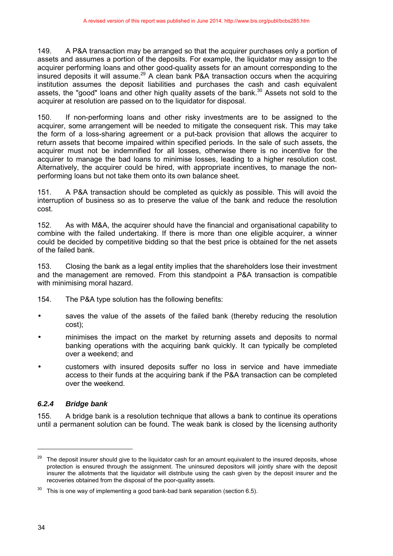149. A P&A transaction may be arranged so that the acquirer purchases only a portion of assets and assumes a portion of the deposits. For example, the liquidator may assign to the acquirer performing loans and other good-quality assets for an amount corresponding to the insured deposits it will assume.<sup>29</sup> A clean bank P&A transaction occurs when the acquiring institution assumes the deposit liabilities and purchases the cash and cash equivalent assets, the "good" loans and other high quality assets of the bank.<sup>30</sup> Assets not sold to the acquirer at resolution are passed on to the liquidator for disposal.

150. If non-performing loans and other risky investments are to be assigned to the acquirer, some arrangement will be needed to mitigate the consequent risk. This may take the form of a loss-sharing agreement or a put-back provision that allows the acquirer to return assets that become impaired within specified periods. In the sale of such assets, the acquirer must not be indemnified for all losses, otherwise there is no incentive for the acquirer to manage the bad loans to minimise losses, leading to a higher resolution cost. Alternatively, the acquirer could be hired, with appropriate incentives, to manage the nonperforming loans but not take them onto its own balance sheet.

151. A P&A transaction should be completed as quickly as possible. This will avoid the interruption of business so as to preserve the value of the bank and reduce the resolution cost.

152. As with M&A, the acquirer should have the financial and organisational capability to combine with the failed undertaking. If there is more than one eligible acquirer, a winner could be decided by competitive bidding so that the best price is obtained for the net assets of the failed bank.

153. Closing the bank as a legal entity implies that the shareholders lose their investment and the management are removed. From this standpoint a P&A transaction is compatible with minimising moral hazard.

- 154. The P&A type solution has the following benefits:
- saves the value of the assets of the failed bank (thereby reducing the resolution cost);
- minimises the impact on the market by returning assets and deposits to normal banking operations with the acquiring bank quickly. It can typically be completed over a weekend; and
- customers with insured deposits suffer no loss in service and have immediate access to their funds at the acquiring bank if the P&A transaction can be completed over the weekend.

#### *6.2.4 Bridge bank*

155. A bridge bank is a resolution technique that allows a bank to continue its operations until a permanent solution can be found. The weak bank is closed by the licensing authority

 $\overline{a}$ 

<sup>&</sup>lt;sup>29</sup> The deposit insurer should give to the liquidator cash for an amount equivalent to the insured deposits, whose protection is ensured through the assignment. The uninsured depositors will jointly share with the deposit insurer the allotments that the liquidator will distribute using the cash given by the deposit insurer and the recoveries obtained from the disposal of the poor-quality assets.

 $30$  This is one way of implementing a good bank-bad bank separation (section 6.5).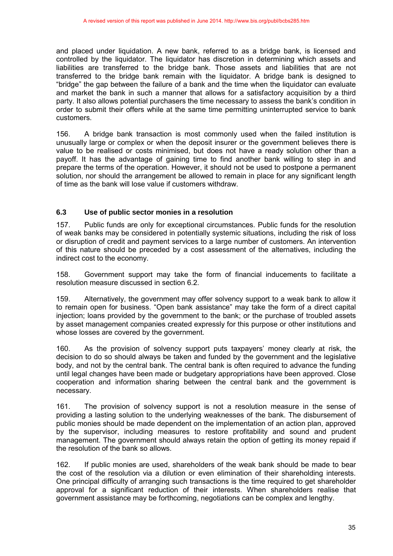and placed under liquidation. A new bank, referred to as a bridge bank, is licensed and controlled by the liquidator. The liquidator has discretion in determining which assets and liabilities are transferred to the bridge bank. Those assets and liabilities that are not transferred to the bridge bank remain with the liquidator. A bridge bank is designed to "bridge" the gap between the failure of a bank and the time when the liquidator can evaluate and market the bank in such a manner that allows for a satisfactory acquisition by a third party. It also allows potential purchasers the time necessary to assess the bank's condition in order to submit their offers while at the same time permitting uninterrupted service to bank customers.

156. A bridge bank transaction is most commonly used when the failed institution is unusually large or complex or when the deposit insurer or the government believes there is value to be realised or costs minimised, but does not have a ready solution other than a payoff. It has the advantage of gaining time to find another bank willing to step in and prepare the terms of the operation. However, it should not be used to postpone a permanent solution, nor should the arrangement be allowed to remain in place for any significant length of time as the bank will lose value if customers withdraw.

#### **6.3 Use of public sector monies in a resolution**

157. Public funds are only for exceptional circumstances. Public funds for the resolution of weak banks may be considered in potentially systemic situations, including the risk of loss or disruption of credit and payment services to a large number of customers. An intervention of this nature should be preceded by a cost assessment of the alternatives, including the indirect cost to the economy.

158. Government support may take the form of financial inducements to facilitate a resolution measure discussed in section 6.2.

159. Alternatively, the government may offer solvency support to a weak bank to allow it to remain open for business. "Open bank assistance" may take the form of a direct capital injection; loans provided by the government to the bank; or the purchase of troubled assets by asset management companies created expressly for this purpose or other institutions and whose losses are covered by the government.

160. As the provision of solvency support puts taxpayers' money clearly at risk, the decision to do so should always be taken and funded by the government and the legislative body, and not by the central bank. The central bank is often required to advance the funding until legal changes have been made or budgetary appropriations have been approved. Close cooperation and information sharing between the central bank and the government is necessary.

161. The provision of solvency support is not a resolution measure in the sense of providing a lasting solution to the underlying weaknesses of the bank. The disbursement of public monies should be made dependent on the implementation of an action plan, approved by the supervisor, including measures to restore profitability and sound and prudent management. The government should always retain the option of getting its money repaid if the resolution of the bank so allows.

162. If public monies are used, shareholders of the weak bank should be made to bear the cost of the resolution via a dilution or even elimination of their shareholding interests. One principal difficulty of arranging such transactions is the time required to get shareholder approval for a significant reduction of their interests. When shareholders realise that government assistance may be forthcoming, negotiations can be complex and lengthy.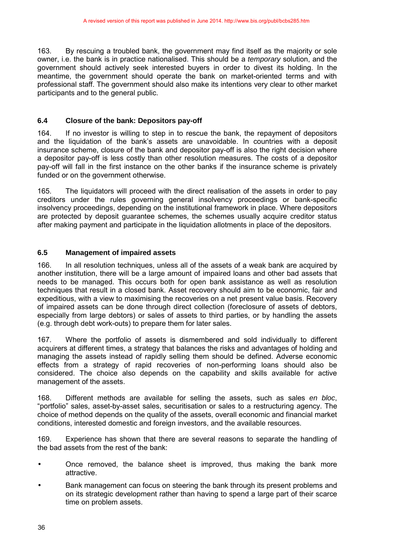163. By rescuing a troubled bank, the government may find itself as the majority or sole owner, i.e. the bank is in practice nationalised. This should be a *temporary* solution, and the government should actively seek interested buyers in order to divest its holding. In the meantime, the government should operate the bank on market-oriented terms and with professional staff. The government should also make its intentions very clear to other market participants and to the general public.

#### **6.4 Closure of the bank: Depositors pay-off**

164. If no investor is willing to step in to rescue the bank, the repayment of depositors and the liquidation of the bank's assets are unavoidable. In countries with a deposit insurance scheme, closure of the bank and depositor pay-off is also the right decision where a depositor pay-off is less costly than other resolution measures. The costs of a depositor pay-off will fall in the first instance on the other banks if the insurance scheme is privately funded or on the government otherwise.

165. The liquidators will proceed with the direct realisation of the assets in order to pay creditors under the rules governing general insolvency proceedings or bank-specific insolvency proceedings, depending on the institutional framework in place. Where depositors are protected by deposit guarantee schemes, the schemes usually acquire creditor status after making payment and participate in the liquidation allotments in place of the depositors.

#### **6.5 Management of impaired assets**

166. In all resolution techniques, unless all of the assets of a weak bank are acquired by another institution, there will be a large amount of impaired loans and other bad assets that needs to be managed. This occurs both for open bank assistance as well as resolution techniques that result in a closed bank. Asset recovery should aim to be economic, fair and expeditious, with a view to maximising the recoveries on a net present value basis. Recovery of impaired assets can be done through direct collection (foreclosure of assets of debtors, especially from large debtors) or sales of assets to third parties, or by handling the assets (e.g. through debt work-outs) to prepare them for later sales.

167. Where the portfolio of assets is dismembered and sold individually to different acquirers at different times, a strategy that balances the risks and advantages of holding and managing the assets instead of rapidly selling them should be defined. Adverse economic effects from a strategy of rapid recoveries of non-performing loans should also be considered. The choice also depends on the capability and skills available for active management of the assets.

168. Different methods are available for selling the assets, such as sales *en bloc*, "portfolio" sales, asset-by-asset sales, securitisation or sales to a restructuring agency. The choice of method depends on the quality of the assets, overall economic and financial market conditions, interested domestic and foreign investors, and the available resources.

169. Experience has shown that there are several reasons to separate the handling of the bad assets from the rest of the bank:

- Once removed, the balance sheet is improved, thus making the bank more attractive.
- Bank management can focus on steering the bank through its present problems and on its strategic development rather than having to spend a large part of their scarce time on problem assets.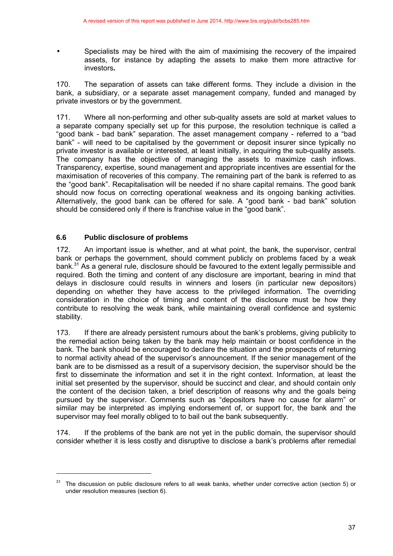• Specialists may be hired with the aim of maximising the recovery of the impaired assets, for instance by adapting the assets to make them more attractive for investors**.**

170. The separation of assets can take different forms. They include a division in the bank, a subsidiary, or a separate asset management company, funded and managed by private investors or by the government.

171. Where all non-performing and other sub-quality assets are sold at market values to a separate company specially set up for this purpose, the resolution technique is called a "good bank - bad bank" separation. The asset management company - referred to a "bad bank" - will need to be capitalised by the government or deposit insurer since typically no private investor is available or interested, at least initially, in acquiring the sub-quality assets. The company has the objective of managing the assets to maximize cash inflows. Transparency, expertise, sound management and appropriate incentives are essential for the maximisation of recoveries of this company. The remaining part of the bank is referred to as the "good bank". Recapitalisation will be needed if no share capital remains. The good bank should now focus on correcting operational weakness and its ongoing banking activities. Alternatively, the good bank can be offered for sale. A "good bank - bad bank" solution should be considered only if there is franchise value in the "good bank".

#### **6.6 Public disclosure of problems**

 $\overline{a}$ 

172. An important issue is whether, and at what point, the bank, the supervisor, central bank or perhaps the government, should comment publicly on problems faced by a weak bank.<sup>31</sup> As a general rule, disclosure should be favoured to the extent legally permissible and required. Both the timing and content of any disclosure are important, bearing in mind that delays in disclosure could results in winners and losers (in particular new depositors) depending on whether they have access to the privileged information. The overriding consideration in the choice of timing and content of the disclosure must be how they contribute to resolving the weak bank, while maintaining overall confidence and systemic stability.

173. If there are already persistent rumours about the bank's problems, giving publicity to the remedial action being taken by the bank may help maintain or boost confidence in the bank. The bank should be encouraged to declare the situation and the prospects of returning to normal activity ahead of the supervisor's announcement. If the senior management of the bank are to be dismissed as a result of a supervisory decision, the supervisor should be the first to disseminate the information and set it in the right context. Information, at least the initial set presented by the supervisor, should be succinct and clear, and should contain only the content of the decision taken, a brief description of reasons why and the goals being pursued by the supervisor. Comments such as "depositors have no cause for alarm" or similar may be interpreted as implying endorsement of, or support for, the bank and the supervisor may feel morally obliged to to bail out the bank subsequently.

174. If the problems of the bank are not yet in the public domain, the supervisor should consider whether it is less costly and disruptive to disclose a bank's problems after remedial

 $31$  The discussion on public disclosure refers to all weak banks, whether under corrective action (section 5) or under resolution measures (section 6).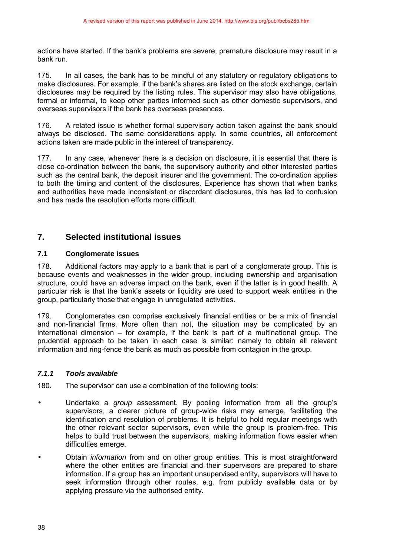actions have started. If the bank's problems are severe, premature disclosure may result in a bank run.

175. In all cases, the bank has to be mindful of any statutory or regulatory obligations to make disclosures. For example, if the bank's shares are listed on the stock exchange, certain disclosures may be required by the listing rules. The supervisor may also have obligations, formal or informal, to keep other parties informed such as other domestic supervisors, and overseas supervisors if the bank has overseas presences.

176. A related issue is whether formal supervisory action taken against the bank should always be disclosed. The same considerations apply. In some countries, all enforcement actions taken are made public in the interest of transparency.

177. In any case, whenever there is a decision on disclosure, it is essential that there is close co-ordination between the bank, the supervisory authority and other interested parties such as the central bank, the deposit insurer and the government. The co-ordination applies to both the timing and content of the disclosures. Experience has shown that when banks and authorities have made inconsistent or discordant disclosures, this has led to confusion and has made the resolution efforts more difficult.

## **7. Selected institutional issues**

#### **7.1 Conglomerate issues**

178. Additional factors may apply to a bank that is part of a conglomerate group. This is because events and weaknesses in the wider group, including ownership and organisation structure, could have an adverse impact on the bank, even if the latter is in good health. A particular risk is that the bank's assets or liquidity are used to support weak entities in the group, particularly those that engage in unregulated activities.

179. Conglomerates can comprise exclusively financial entities or be a mix of financial and non-financial firms. More often than not, the situation may be complicated by an international dimension – for example, if the bank is part of a multinational group. The prudential approach to be taken in each case is similar: namely to obtain all relevant information and ring-fence the bank as much as possible from contagion in the group.

#### *7.1.1 Tools available*

180. The supervisor can use a combination of the following tools:

- Undertake a *group* assessment. By pooling information from all the group's supervisors, a clearer picture of group-wide risks may emerge, facilitating the identification and resolution of problems. It is helpful to hold regular meetings with the other relevant sector supervisors, even while the group is problem-free. This helps to build trust between the supervisors, making information flows easier when difficulties emerge.
- Obtain *information* from and on other group entities. This is most straightforward where the other entities are financial and their supervisors are prepared to share information. If a group has an important unsupervised entity, supervisors will have to seek information through other routes, e.g. from publicly available data or by applying pressure via the authorised entity.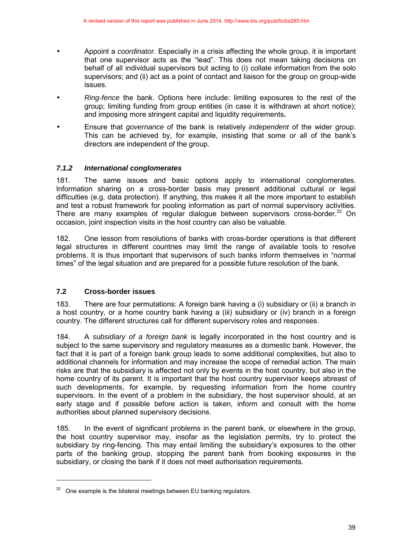- Appoint a *coordinator.* Especially in a crisis affecting the whole group, it is important that one supervisor acts as the "lead". This does not mean taking decisions on behalf of all individual supervisors but acting to (i) collate information from the solo supervisors; and (ii) act as a point of contact and liaison for the group on group-wide issues.
- *Ring-fence* the bank. Options here include: limiting exposures to the rest of the group; limiting funding from group entities (in case it is withdrawn at short notice); and imposing more stringent capital and liquidity requirements**.**
- Ensure that *governance* of the bank is relatively *independent* of the wider group. This can be achieved by, for example, insisting that some or all of the bank's directors are independent of the group.

#### *7.1.2 International conglomerates*

181. The same issues and basic options apply to international conglomerates. Information sharing on a cross-border basis may present additional cultural or legal difficulties (e.g. data protection). If anything, this makes it all the more important to establish and test a robust framework for pooling information as part of normal supervisory activities. There are many examples of regular dialogue between supervisors cross-border. $32$  On occasion, joint inspection visits in the host country can also be valuable.

182. One lesson from resolutions of banks with cross-border operations is that different legal structures in different countries may limit the range of available tools to resolve problems. It is thus important that supervisors of such banks inform themselves in "normal times" of the legal situation and are prepared for a possible future resolution of the bank.

#### **7.2 Cross-border issues**

 $\overline{a}$ 

183. There are four permutations: A foreign bank having a (i) subsidiary or (ii) a branch in a host country, or a home country bank having a (iii) subsidiary or (iv) branch in a foreign country. The different structures call for different supervisory roles and responses.

184. A *subsidiary of a foreign bank* is legally incorporated in the host country and is subject to the same supervisory and regulatory measures as a domestic bank. However, the fact that it is part of a foreign bank group leads to some additional complexities, but also to additional channels for information and may increase the scope of remedial action. The main risks are that the subsidiary is affected not only by events in the host country, but also in the home country of its parent. It is important that the host country supervisor keeps abreast of such developments, for example, by requesting information from the home country supervisors. In the event of a problem in the subsidiary, the host supervisor should, at an early stage and if possible before action is taken, inform and consult with the home authorities about planned supervisory decisions.

185. In the event of significant problems in the parent bank, or elsewhere in the group, the host country supervisor may, insofar as the legislation permits, try to protect the subsidiary by ring-fencing. This may entail limiting the subsidiary's exposures to the other parts of the banking group, stopping the parent bank from booking exposures in the subsidiary, or closing the bank if it does not meet authorisation requirements.

 $32$  One example is the bilateral meetings between EU banking regulators.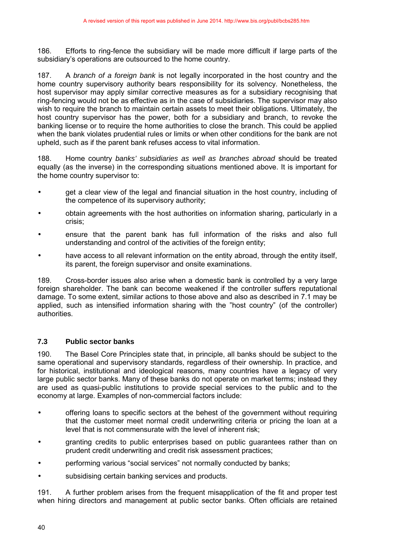186. Efforts to ring-fence the subsidiary will be made more difficult if large parts of the subsidiary's operations are outsourced to the home country.

187. A *branch of a foreign bank* is not legally incorporated in the host country and the home country supervisory authority bears responsibility for its solvency. Nonetheless, the host supervisor may apply similar corrective measures as for a subsidiary recognising that ring-fencing would not be as effective as in the case of subsidiaries. The supervisor may also wish to require the branch to maintain certain assets to meet their obligations. Ultimately, the host country supervisor has the power, both for a subsidiary and branch, to revoke the banking license or to require the home authorities to close the branch. This could be applied when the bank violates prudential rules or limits or when other conditions for the bank are not upheld, such as if the parent bank refuses access to vital information.

188. Home country *banks' subsidiaries as well as branches abroad* should be treated equally (as the inverse) in the corresponding situations mentioned above. It is important for the home country supervisor to:

- get a clear view of the legal and financial situation in the host country, including of the competence of its supervisory authority;
- obtain agreements with the host authorities on information sharing, particularly in a crisis;
- ensure that the parent bank has full information of the risks and also full understanding and control of the activities of the foreign entity;
- have access to all relevant information on the entity abroad, through the entity itself, its parent, the foreign supervisor and onsite examinations.

189. Cross-border issues also arise when a domestic bank is controlled by a very large foreign shareholder. The bank can become weakened if the controller suffers reputational damage. To some extent, similar actions to those above and also as described in 7.1 may be applied, such as intensified information sharing with the "host country" (of the controller) authorities.

#### **7.3 Public sector banks**

190. The Basel Core Principles state that, in principle, all banks should be subject to the same operational and supervisory standards, regardless of their ownership. In practice, and for historical, institutional and ideological reasons, many countries have a legacy of very large public sector banks. Many of these banks do not operate on market terms; instead they are used as quasi-public institutions to provide special services to the public and to the economy at large. Examples of non-commercial factors include:

- offering loans to specific sectors at the behest of the government without requiring that the customer meet normal credit underwriting criteria or pricing the loan at a level that is not commensurate with the level of inherent risk;
- granting credits to public enterprises based on public guarantees rather than on prudent credit underwriting and credit risk assessment practices;
- performing various "social services" not normally conducted by banks;
- subsidising certain banking services and products.

191. A further problem arises from the frequent misapplication of the fit and proper test when hiring directors and management at public sector banks. Often officials are retained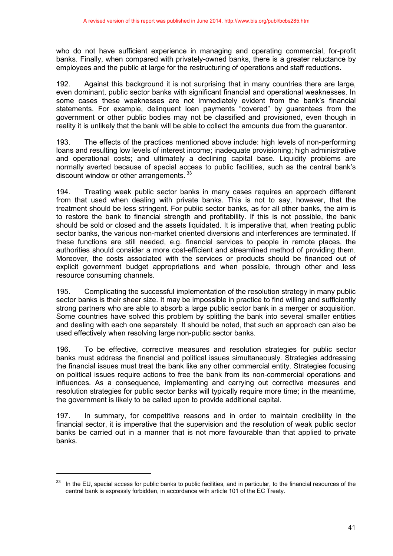who do not have sufficient experience in managing and operating commercial, for-profit banks. Finally, when compared with privately-owned banks, there is a greater reluctance by employees and the public at large for the restructuring of operations and staff reductions.

192. Against this background it is not surprising that in many countries there are large, even dominant, public sector banks with significant financial and operational weaknesses. In some cases these weaknesses are not immediately evident from the bank's financial statements. For example, delinquent loan payments "covered" by guarantees from the government or other public bodies may not be classified and provisioned, even though in reality it is unlikely that the bank will be able to collect the amounts due from the guarantor.

193. The effects of the practices mentioned above include: high levels of non-performing loans and resulting low levels of interest income; inadequate provisioning; high administrative and operational costs; and ultimately a declining capital base. Liquidity problems are normally averted because of special access to public facilities, such as the central bank's discount window or other arrangements.<sup>33</sup>

194. Treating weak public sector banks in many cases requires an approach different from that used when dealing with private banks. This is not to say, however, that the treatment should be less stringent. For public sector banks, as for all other banks, the aim is to restore the bank to financial strength and profitability. If this is not possible, the bank should be sold or closed and the assets liquidated. It is imperative that, when treating public sector banks, the various non-market oriented diversions and interferences are terminated. If these functions are still needed, e.g. financial services to people in remote places, the authorities should consider a more cost-efficient and streamlined method of providing them. Moreover, the costs associated with the services or products should be financed out of explicit government budget appropriations and when possible, through other and less resource consuming channels.

195. Complicating the successful implementation of the resolution strategy in many public sector banks is their sheer size. It may be impossible in practice to find willing and sufficiently strong partners who are able to absorb a large public sector bank in a merger or acquisition. Some countries have solved this problem by splitting the bank into several smaller entities and dealing with each one separately. It should be noted, that such an approach can also be used effectively when resolving large non-public sector banks.

196. To be effective, corrective measures and resolution strategies for public sector banks must address the financial and political issues simultaneously. Strategies addressing the financial issues must treat the bank like any other commercial entity. Strategies focusing on political issues require actions to free the bank from its non-commercial operations and influences. As a consequence, implementing and carrying out corrective measures and resolution strategies for public sector banks will typically require more time; in the meantime, the government is likely to be called upon to provide additional capital.

197. In summary, for competitive reasons and in order to maintain credibility in the financial sector, it is imperative that the supervision and the resolution of weak public sector banks be carried out in a manner that is not more favourable than that applied to private banks.

 $\overline{a}$ 

In the EU, special access for public banks to public facilities, and in particular, to the financial resources of the central bank is expressly forbidden, in accordance with article 101 of the EC Treaty.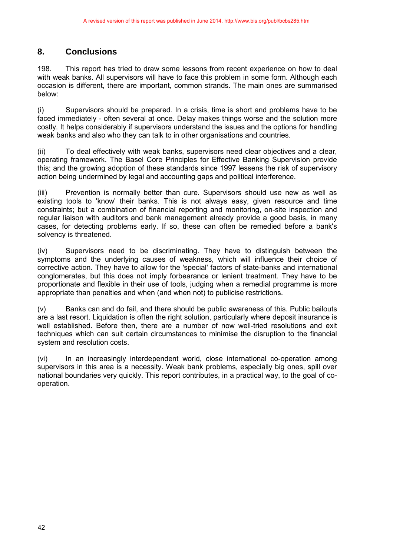## **8. Conclusions**

198. This report has tried to draw some lessons from recent experience on how to deal with weak banks. All supervisors will have to face this problem in some form. Although each occasion is different, there are important, common strands. The main ones are summarised below:

(i) Supervisors should be prepared. In a crisis, time is short and problems have to be faced immediately - often several at once. Delay makes things worse and the solution more costly. It helps considerably if supervisors understand the issues and the options for handling weak banks and also who they can talk to in other organisations and countries.

(ii) To deal effectively with weak banks, supervisors need clear objectives and a clear, operating framework. The Basel Core Principles for Effective Banking Supervision provide this; and the growing adoption of these standards since 1997 lessens the risk of supervisory action being undermined by legal and accounting gaps and political interference.

(iii) Prevention is normally better than cure. Supervisors should use new as well as existing tools to 'know' their banks. This is not always easy, given resource and time constraints; but a combination of financial reporting and monitoring, on-site inspection and regular liaison with auditors and bank management already provide a good basis, in many cases, for detecting problems early. If so, these can often be remedied before a bank's solvency is threatened.

(iv) Supervisors need to be discriminating. They have to distinguish between the symptoms and the underlying causes of weakness, which will influence their choice of corrective action. They have to allow for the 'special' factors of state-banks and international conglomerates, but this does not imply forbearance or lenient treatment. They have to be proportionate and flexible in their use of tools, judging when a remedial programme is more appropriate than penalties and when (and when not) to publicise restrictions.

(v) Banks can and do fail, and there should be public awareness of this. Public bailouts are a last resort. Liquidation is often the right solution, particularly where deposit insurance is well established. Before then, there are a number of now well-tried resolutions and exit techniques which can suit certain circumstances to minimise the disruption to the financial system and resolution costs.

(vi) In an increasingly interdependent world, close international co-operation among supervisors in this area is a necessity. Weak bank problems, especially big ones, spill over national boundaries very quickly. This report contributes, in a practical way, to the goal of cooperation.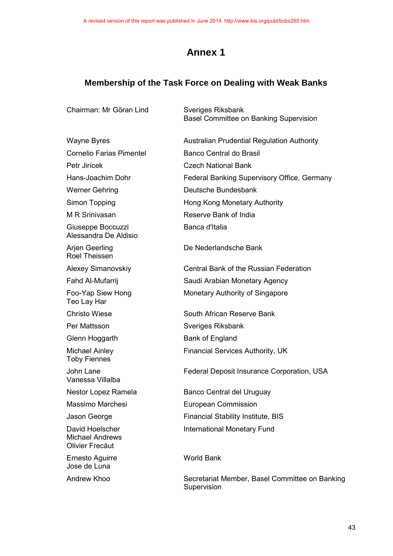## **Membership of the Task Force on Dealing with Weak Banks**

Chairman: Mr Göran Lind Sveriges Riksbank

Basel Committee on Banking Supervision

Cornelio Farias Pimentel Banco Central do Brasil Petr Jirícek Czech National Bank Werner Gehring **Deutsche Bundesbank** Simon Topping **Hong Kong Monetary Authority** M R Srinivasan Reserve Bank of India Giuseppe Boccuzzi Alessandra De Aldisio Arjen Geerling Roel Theissen Foo-Yap Siew Hong Teo Lay Har Christo Wiese **South African Reserve Bank** Per Mattsson Sveriges Riksbank Glenn Hoggarth Bank of England Michael Ainley Toby Fiennes John Lane Vanessa Villalba Nestor Lopez Ramela Banco Central del Uruguay Massimo Marchesi **European Commission** Jason George **Financial Stability Institute, BIS** David Hoelscher Michael Andrews Olivier Frecáut Ernesto Aguirre Jose de Luna

Wayne Byres **Australian Prudential Regulation Authority** Hans-Joachim Dohr Federal Banking Supervisory Office, Germany Banca d'Italia

De Nederlandsche Bank

Alexey Simanovskiy Central Bank of the Russian Federation Fahd Al-Mufarrij Saudi Arabian Monetary Agency Monetary Authority of Singapore

Financial Services Authority, UK

Federal Deposit Insurance Corporation, USA

International Monetary Fund

World Bank

Andrew Khoo Secretariat Member, Basel Committee on Banking **Supervision**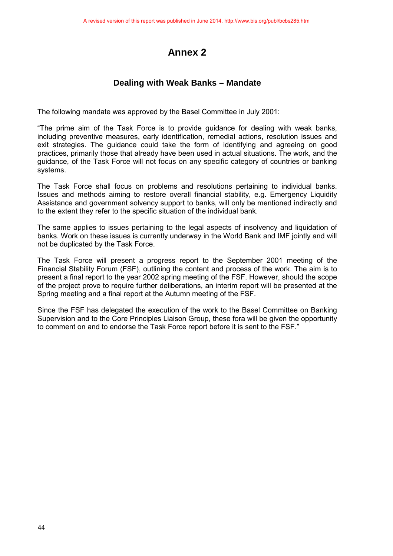## **Dealing with Weak Banks – Mandate**

The following mandate was approved by the Basel Committee in July 2001:

"The prime aim of the Task Force is to provide guidance for dealing with weak banks, including preventive measures, early identification, remedial actions, resolution issues and exit strategies. The guidance could take the form of identifying and agreeing on good practices, primarily those that already have been used in actual situations. The work, and the guidance, of the Task Force will not focus on any specific category of countries or banking systems.

The Task Force shall focus on problems and resolutions pertaining to individual banks. Issues and methods aiming to restore overall financial stability, e.g. Emergency Liquidity Assistance and government solvency support to banks, will only be mentioned indirectly and to the extent they refer to the specific situation of the individual bank.

The same applies to issues pertaining to the legal aspects of insolvency and liquidation of banks. Work on these issues is currently underway in the World Bank and IMF jointly and will not be duplicated by the Task Force.

The Task Force will present a progress report to the September 2001 meeting of the Financial Stability Forum (FSF), outlining the content and process of the work. The aim is to present a final report to the year 2002 spring meeting of the FSF. However, should the scope of the project prove to require further deliberations, an interim report will be presented at the Spring meeting and a final report at the Autumn meeting of the FSF.

Since the FSF has delegated the execution of the work to the Basel Committee on Banking Supervision and to the Core Principles Liaison Group, these fora will be given the opportunity to comment on and to endorse the Task Force report before it is sent to the FSF."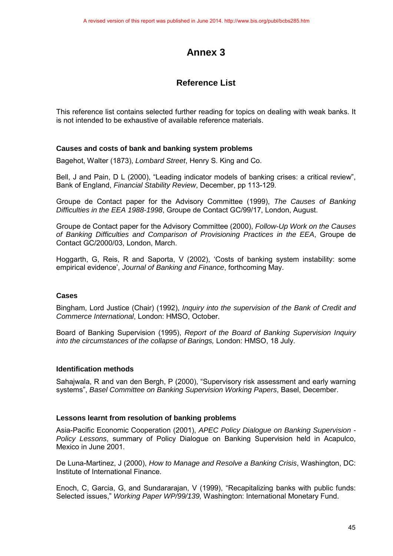## **Reference List**

This reference list contains selected further reading for topics on dealing with weak banks. It is not intended to be exhaustive of available reference materials.

#### **Causes and costs of bank and banking system problems**

Bagehot, Walter (1873), *Lombard Street*, Henry S. King and Co.

Bell, J and Pain, D L (2000), "Leading indicator models of banking crises: a critical review", Bank of England, *Financial Stability Review*, December, pp 113-129.

Groupe de Contact paper for the Advisory Committee (1999), *The Causes of Banking Difficulties in the EEA 1988-1998*, Groupe de Contact GC/99/17, London, August.

Groupe de Contact paper for the Advisory Committee (2000), *Follow-Up Work on the Causes of Banking Difficulties and Comparison of Provisioning Practices in the EEA*, Groupe de Contact GC/2000/03, London, March.

Hoggarth, G, Reis, R and Saporta, V (2002), 'Costs of banking system instability: some empirical evidence', *Journal of Banking and Finance*, forthcoming May.

#### **Cases**

Bingham, Lord Justice (Chair) (1992), *Inquiry into the supervision of the Bank of Credit and Commerce International*, London: HMSO, October.

Board of Banking Supervision (1995), *Report of the Board of Banking Supervision Inquiry into the circumstances of the collapse of Barings,* London: HMSO, 18 July.

#### **Identification methods**

Sahajwala, R and van den Bergh, P (2000), "Supervisory risk assessment and early warning systems", *Basel Committee on Banking Supervision Working Papers*, Basel, December.

#### **Lessons learnt from resolution of banking problems**

Asia-Pacific Economic Cooperation (2001), *APEC Policy Dialogue on Banking Supervision - Policy Lessons*, summary of Policy Dialogue on Banking Supervision held in Acapulco, Mexico in June 2001.

De Luna-Martinez, J (2000), *How to Manage and Resolve a Banking Crisis*, Washington, DC: Institute of International Finance.

Enoch, C, Garcia, G, and Sundararajan, V (1999), "Recapitalizing banks with public funds: Selected issues," *Working Paper WP/99/139,* Washington: International Monetary Fund.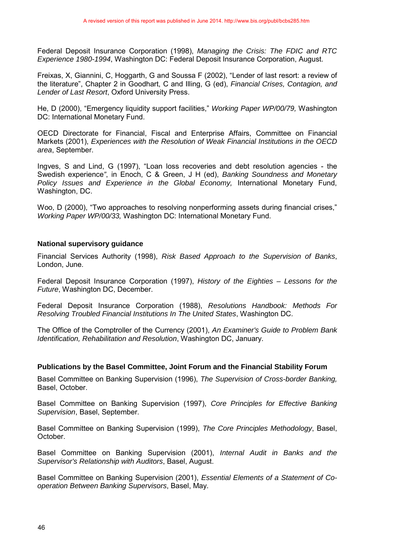Federal Deposit Insurance Corporation (1998), *Managing the Crisis: The FDIC and RTC Experience 1980-1994*, Washington DC: Federal Deposit Insurance Corporation, August.

Freixas, X, Giannini, C, Hoggarth, G and Soussa F (2002), "Lender of last resort: a review of the literature", Chapter 2 in Goodhart, C and Illing, G (ed), *Financial Crises, Contagion, and Lender of Last Resort*, Oxford University Press.

He, D (2000), "Emergency liquidity support facilities," *Working Paper WP/00/79,* Washington DC: International Monetary Fund.

OECD Directorate for Financial, Fiscal and Enterprise Affairs, Committee on Financial Markets (2001), *Experiences with the Resolution of Weak Financial Institutions in the OECD area*, September.

Ingves, S and Lind, G (1997), "Loan loss recoveries and debt resolution agencies - the Swedish experience*"*, in Enoch, C & Green, J H (ed), *Banking Soundness and Monetary Policy Issues and Experience in the Global Economy,* International Monetary Fund, Washington, DC.

Woo, D (2000), "Two approaches to resolving nonperforming assets during financial crises," *Working Paper WP/00/33,* Washington DC: International Monetary Fund.

#### **National supervisory guidance**

Financial Services Authority (1998), *Risk Based Approach to the Supervision of Banks*, London, June.

Federal Deposit Insurance Corporation (1997), *History of the Eighties – Lessons for the Future*, Washington DC, December.

Federal Deposit Insurance Corporation (1988), *Resolutions Handbook: Methods For Resolving Troubled Financial Institutions In The United States*, Washington DC.

The Office of the Comptroller of the Currency (2001), *An Examiner's Guide to Problem Bank Identification, Rehabilitation and Resolution*, Washington DC, January.

#### **Publications by the Basel Committee, Joint Forum and the Financial Stability Forum**

Basel Committee on Banking Supervision (1996), *The Supervision of Cross-border Banking,*  Basel, October.

Basel Committee on Banking Supervision (1997), *Core Principles for Effective Banking Supervision*, Basel, September.

Basel Committee on Banking Supervision (1999), *The Core Principles Methodology*, Basel, October.

Basel Committee on Banking Supervision (2001), *Internal Audit in Banks and the Supervisor's Relationship with Auditors*, Basel, August.

Basel Committee on Banking Supervision (2001), *Essential Elements of a Statement of Cooperation Between Banking Supervisors*, Basel, May.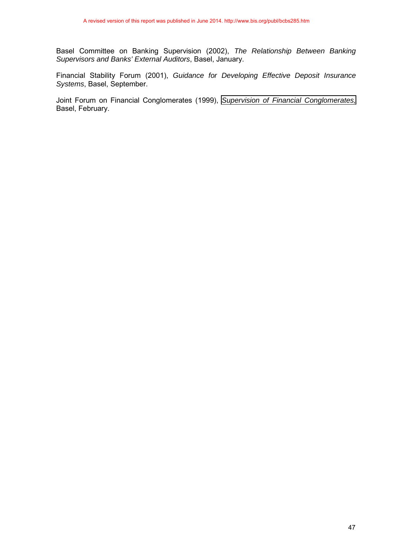Basel Committee on Banking Supervision (2002), *The Relationship Between Banking Supervisors and Banks' External Auditors*, Basel, January.

Financial Stability Forum (2001), *Guidance for Developing Effective Deposit Insurance Systems*, Basel, September.

Joint Forum on Financial Conglomerates (1999), *Supervision of Financial Conglomerates,*  Basel, February.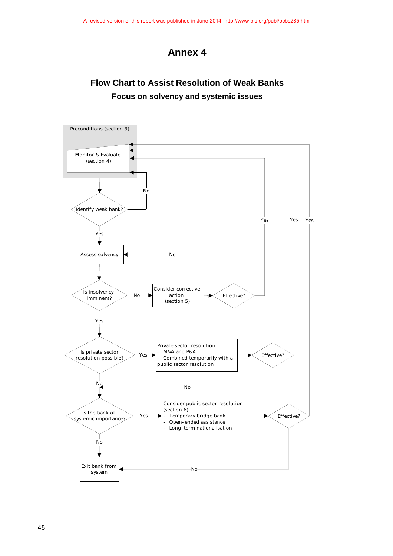# **Flow Chart to Assist Resolution of Weak Banks Focus on solvency and systemic issues**

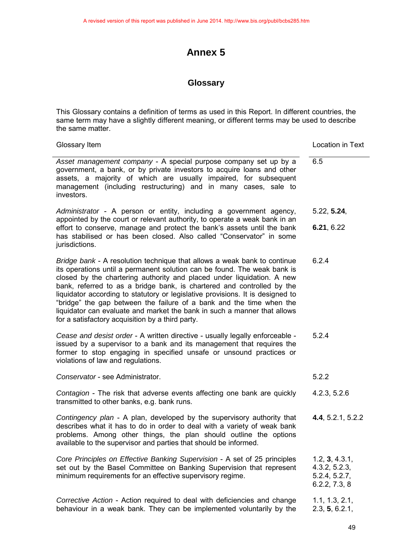## **Glossary**

This Glossary contains a definition of terms as used in this Report. In different countries, the same term may have a slightly different meaning, or different terms may be used to describe the same matter.

| Glossary Item                                                                                                                                                                                                                                                                                                                                                                                                                                                                                                                                                                                      | Location in Text                                                  |
|----------------------------------------------------------------------------------------------------------------------------------------------------------------------------------------------------------------------------------------------------------------------------------------------------------------------------------------------------------------------------------------------------------------------------------------------------------------------------------------------------------------------------------------------------------------------------------------------------|-------------------------------------------------------------------|
| Asset management company - A special purpose company set up by a<br>government, a bank, or by private investors to acquire loans and other<br>assets, a majority of which are usually impaired, for subsequent<br>management (including restructuring) and in many cases, sale to<br>investors.                                                                                                                                                                                                                                                                                                    | 6.5                                                               |
| Administrator - A person or entity, including a government agency,<br>appointed by the court or relevant authority, to operate a weak bank in an                                                                                                                                                                                                                                                                                                                                                                                                                                                   | 5.22, 5.24,                                                       |
| effort to conserve, manage and protect the bank's assets until the bank<br>has stabilised or has been closed. Also called "Conservator" in some<br>jurisdictions.                                                                                                                                                                                                                                                                                                                                                                                                                                  | 6.21, 6.22                                                        |
| Bridge bank - A resolution technique that allows a weak bank to continue<br>its operations until a permanent solution can be found. The weak bank is<br>closed by the chartering authority and placed under liquidation. A new<br>bank, referred to as a bridge bank, is chartered and controlled by the<br>liquidator according to statutory or legislative provisions. It is designed to<br>"bridge" the gap between the failure of a bank and the time when the<br>liquidator can evaluate and market the bank in such a manner that allows<br>for a satisfactory acquisition by a third party. | 6.2.4                                                             |
| Cease and desist order - A written directive - usually legally enforceable -<br>issued by a supervisor to a bank and its management that requires the<br>former to stop engaging in specified unsafe or unsound practices or<br>violations of law and regulations.                                                                                                                                                                                                                                                                                                                                 | 5.2.4                                                             |
| Conservator - see Administrator.                                                                                                                                                                                                                                                                                                                                                                                                                                                                                                                                                                   | 5.2.2                                                             |
| Contagion - The risk that adverse events affecting one bank are quickly<br>transmitted to other banks, e.g. bank runs.                                                                                                                                                                                                                                                                                                                                                                                                                                                                             | 4.2.3, 5.2.6                                                      |
| Contingency plan - A plan, developed by the supervisory authority that<br>describes what it has to do in order to deal with a variety of weak bank<br>problems. Among other things, the plan should outline the options<br>available to the supervisor and parties that should be informed.                                                                                                                                                                                                                                                                                                        | 4.4, 5.2.1, 5.2.2                                                 |
| Core Principles on Effective Banking Supervision - A set of 25 principles<br>set out by the Basel Committee on Banking Supervision that represent<br>minimum requirements for an effective supervisory regime.                                                                                                                                                                                                                                                                                                                                                                                     | 1.2, 3, 4.3.1,<br>4.3.2, 5.2.3,<br>5.2.4, 5.2.7,<br>6.2.2, 7.3, 8 |
| Corrective Action - Action required to deal with deficiencies and change<br>behaviour in a weak bank. They can be implemented voluntarily by the                                                                                                                                                                                                                                                                                                                                                                                                                                                   | 1.1, 1.3, 2.1,<br>2.3, 5, 6.2.1,                                  |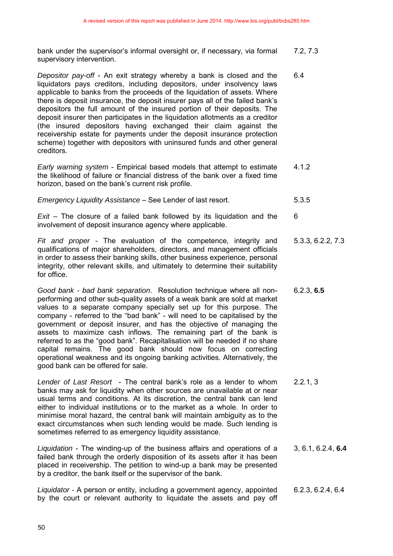bank under the supervisor's informal oversight or, if necessary, via formal supervisory intervention. 7.2, 7.3

*Depositor pay-off* - An exit strategy whereby a bank is closed and the liquidators pays creditors, including depositors, under insolvency laws applicable to banks from the proceeds of the liquidation of assets. Where there is deposit insurance, the deposit insurer pays all of the failed bank's depositors the full amount of the insured portion of their deposits. The deposit insurer then participates in the liquidation allotments as a creditor (the insured depositors having exchanged their claim against the receivership estate for payments under the deposit insurance protection scheme) together with depositors with uninsured funds and other general creditors. 6.4

*Early warning system* - Empirical based models that attempt to estimate the likelihood of failure or financial distress of the bank over a fixed time horizon, based on the bank's current risk profile. 4.1.2

#### *Emergency Liquidity Assistance* – See Lender of last resort. 5.3.5

*Exit* – The closure of a failed bank followed by its liquidation and the involvement of deposit insurance agency where applicable.

*Fit and proper* - The evaluation of the competence, integrity and qualifications of major shareholders, directors, and management officials in order to assess their banking skills, other business experience, personal integrity, other relevant skills, and ultimately to determine their suitability for office. 5.3.3, 6.2.2, 7.3

6

*Good bank - bad bank separation*. Resolution technique where all nonperforming and other sub-quality assets of a weak bank are sold at market values to a separate company specially set up for this purpose. The company - referred to the "bad bank" - will need to be capitalised by the government or deposit insurer, and has the objective of managing the assets to maximize cash inflows. The remaining part of the bank is referred to as the "good bank". Recapitalisation will be needed if no share capital remains. The good bank should now focus on correcting operational weakness and its ongoing banking activities. Alternatively, the good bank can be offered for sale. 6.2.3, **6.5**

*Lender of Last Resort* - The central bank's role as a lender to whom banks may ask for liquidity when other sources are unavailable at or near usual terms and conditions. At its discretion, the central bank can lend either to individual institutions or to the market as a whole. In order to minimise moral hazard, the central bank will maintain ambiguity as to the exact circumstances when such lending would be made. Such lending is sometimes referred to as emergency liquidity assistance. 2.2.1, 3

*Liquidation* - The winding-up of the business affairs and operations of a failed bank through the orderly disposition of its assets after it has been placed in receivership. The petition to wind-up a bank may be presented by a creditor, the bank itself or the supervisor of the bank. 3, 6.1, 6.2.4, **6.4**

*Liquidator -* A person or entity, including a government agency, appointed by the court or relevant authority to liquidate the assets and pay off 6.2.3, 6.2.4, 6.4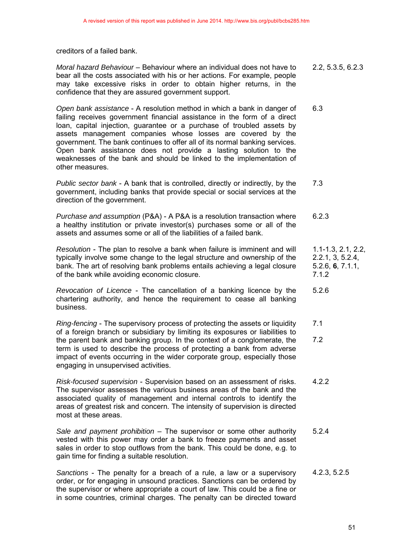creditors of a failed bank.

*Moral hazard Behaviour* – Behaviour where an individual does not have to bear all the costs associated with his or her actions. For example, people may take excessive risks in order to obtain higher returns, in the confidence that they are assured government support.

*Open bank assistance* - A resolution method in which a bank in danger of failing receives government financial assistance in the form of a direct loan, capital injection, guarantee or a purchase of troubled assets by assets management companies whose losses are covered by the government. The bank continues to offer all of its normal banking services. Open bank assistance does not provide a lasting solution to the weaknesses of the bank and should be linked to the implementation of other measures. 6.3

*Public sector bank* - A bank that is controlled, directly or indirectly, by the government, including banks that provide special or social services at the direction of the government. 7.3

*Purchase and assumption* (P&A) - A P&A is a resolution transaction where a healthy institution or private investor(s) purchases some or all of the assets and assumes some or all of the liabilities of a failed bank. 6.2.3

*Resolution* - The plan to resolve a bank when failure is imminent and will typically involve some change to the legal structure and ownership of the bank. The art of resolving bank problems entails achieving a legal closure of the bank while avoiding economic closure.

*Revocation of Licence* - The cancellation of a banking licence by the chartering authority, and hence the requirement to cease all banking business. 5.2.6

*Ring-fencing* - The supervisory process of protecting the assets or liquidity of a foreign branch or subsidiary by limiting its exposures or liabilities to the parent bank and banking group. In the context of a conglomerate, the term is used to describe the process of protecting a bank from adverse impact of events occurring in the wider corporate group, especially those engaging in unsupervised activities. 7.1 7.2

*Risk-focused supervision* - Supervision based on an assessment of risks. The supervisor assesses the various business areas of the bank and the associated quality of management and internal controls to identify the areas of greatest risk and concern. The intensity of supervision is directed most at these areas. 422

*Sale and payment prohibition* – The supervisor or some other authority vested with this power may order a bank to freeze payments and asset sales in order to stop outflows from the bank. This could be done, e.g. to gain time for finding a suitable resolution. 5.2.4

*Sanctions* - The penalty for a breach of a rule, a law or a supervisory order, or for engaging in unsound practices. Sanctions can be ordered by the supervisor or where appropriate a court of law. This could be a fine or in some countries, criminal charges. The penalty can be directed toward 4.2.3, 5.2.5

1.1-1.3, 2.1, 2.2, 2.2.1, 3, 5.2.4, 5.2.6, **6**, 7.1.1, 7.1.2

2.2, 5.3.5, 6.2.3